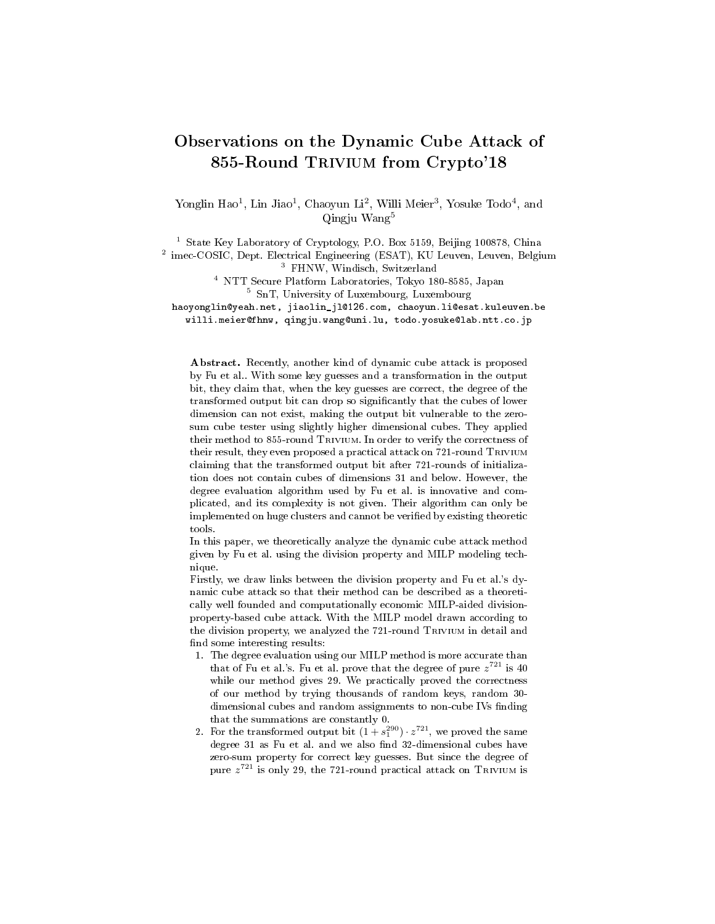# Observations on the Dynamic Cube Attack of 855-Round Trivium from Crypto'18

Yonglin Hao<sup>1</sup>, Lin Jiao<sup>1</sup>, Chaoyun Li<sup>2</sup>, Willi Meier<sup>3</sup>, Yosuke Todo<sup>4</sup>, and Qingju Wang<sup>5</sup>

<sup>1</sup> State Key Laboratory of Cryptology, P.O. Box 5159, Beijing 100878, China

2 imec-COSIC, Dept. Electrical Engineering (ESAT), KU Leuven, Leuven, Belgium <sup>3</sup> FHNW, Windisch, Switzerland

<sup>4</sup> NTT Secure Platform Laboratories, Tokyo 180-8585, Japan <sup>5</sup> SnT, University of Luxembourg, Luxembourg

haoyonglin@yeah.net, jiaolin\_jl@126.com, chaoyun.li@esat.kuleuven.be willi.meier@fhnw, qingju.wang@uni.lu, todo.yosuke@lab.ntt.co.jp

Abstract. Recently, another kind of dynamic cube attack is proposed by Fu et al.. With some key guesses and a transformation in the output bit, they claim that, when the key guesses are correct, the degree of the transformed output bit can drop so signicantly that the cubes of lower dimension can not exist, making the output bit vulnerable to the zerosum cube tester using slightly higher dimensional cubes. They applied their method to 855-round Trivium. In order to verify the correctness of their result, they even proposed a practical attack on 721-round Trivium claiming that the transformed output bit after 721-rounds of initialization does not contain cubes of dimensions 31 and below. However, the degree evaluation algorithm used by Fu et al. is innovative and complicated, and its complexity is not given. Their algorithm can only be implemented on huge clusters and cannot be verified by existing theoretic tools.

In this paper, we theoretically analyze the dynamic cube attack method given by Fu et al. using the division property and MILP modeling technique.

Firstly, we draw links between the division property and Fu et al.'s dynamic cube attack so that their method can be described as a theoretically well founded and computationally economic MILP-aided divisionproperty-based cube attack. With the MILP model drawn according to the division property, we analyzed the 721-round Trivium in detail and find some interesting results:

- 1. The degree evaluation using our MILP method is more accurate than that of Fu et al.'s. Fu et al. prove that the degree of pure  $z^{721}$  is 40 while our method gives 29. We practically proved the correctness of our method by trying thousands of random keys, random 30 dimensional cubes and random assignments to non-cube IVs finding that the summations are constantly 0.
- 2. For the transformed output bit  $(1 + s_1^{290}) \cdot z^{721}$ , we proved the same degree 31 as Fu et al. and we also find 32-dimensional cubes have zero-sum property for correct key guesses. But since the degree of pure  $z^{721}$  is only 29, the 721-round practical attack on TRIVIUM is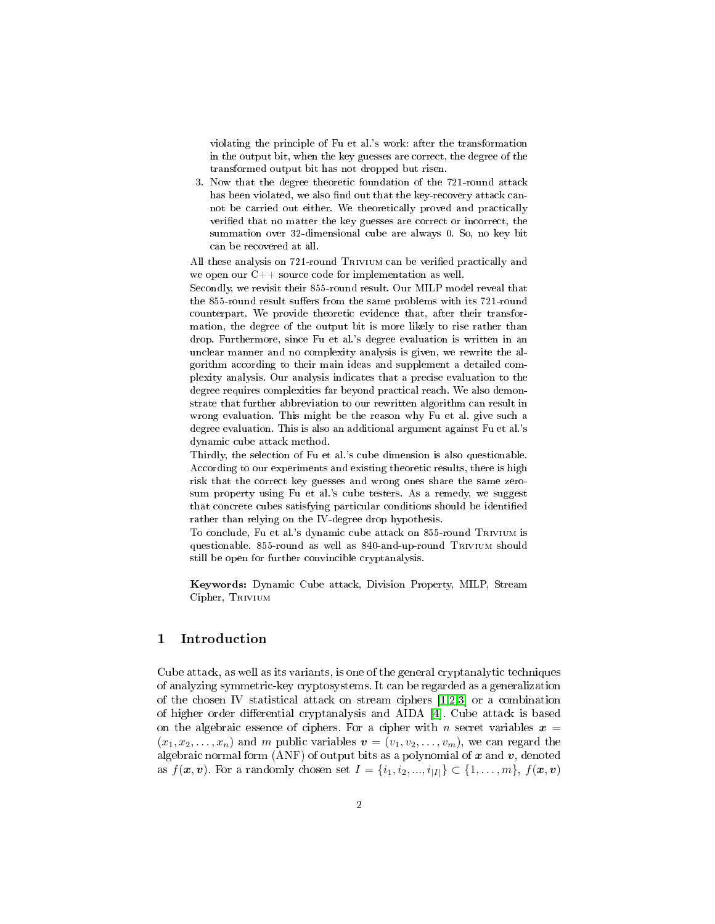violating the principle of Fu et al.'s work: after the transformation in the output bit, when the key guesses are correct, the degree of the transformed output bit has not dropped but risen.

3. Now that the degree theoretic foundation of the 721-round attack has been violated, we also find out that the key-recovery attack cannot be carried out either. We theoretically proved and practically verified that no matter the key guesses are correct or incorrect, the summation over 32-dimensional cube are always 0. So, no key bit can be recovered at all.

All these analysis on 721-round TRIVIUM can be verified practically and we open our C++ source code for implementation as well.

Secondly, we revisit their 855-round result. Our MILP model reveal that the 855-round result suffers from the same problems with its 721-round counterpart. We provide theoretic evidence that, after their transformation, the degree of the output bit is more likely to rise rather than drop. Furthermore, since Fu et al.'s degree evaluation is written in an unclear manner and no complexity analysis is given, we rewrite the algorithm according to their main ideas and supplement a detailed complexity analysis. Our analysis indicates that a precise evaluation to the degree requires complexities far beyond practical reach. We also demonstrate that further abbreviation to our rewritten algorithm can result in wrong evaluation. This might be the reason why Fu et al. give such a degree evaluation. This is also an additional argument against Fu et al.'s dynamic cube attack method.

Thirdly, the selection of Fu et al.'s cube dimension is also questionable. According to our experiments and existing theoretic results, there is high risk that the correct key guesses and wrong ones share the same zerosum property using Fu et al.'s cube testers. As a remedy, we suggest that concrete cubes satisfying particular conditions should be identied rather than relying on the IV-degree drop hypothesis.

To conclude, Fu et al.'s dynamic cube attack on 855-round Trivium is questionable. 855-round as well as 840-and-up-round Trivium should still be open for further convincible cryptanalysis.

Keywords: Dynamic Cube attack, Division Property, MILP, Stream Cipher, TRIVIUM

## 1 Introduction

Cube attack, as well as its variants, is one of the general cryptanalytic techniques of analyzing symmetric-key cryptosystems. It can be regarded as a generalization of the chosen IV statistical attack on stream ciphers [\[1](#page-27-0)[,2,](#page-27-1)[3\]](#page-28-0) or a combination of higher order differential cryptanalysis and AIDA  $[4]$ . Cube attack is based on the algebraic essence of ciphers. For a cipher with n secret variables  $x =$  $(x_1, x_2, \ldots, x_n)$  and m public variables  $\mathbf{v} = (v_1, v_2, \ldots, v_m)$ , we can regard the algebraic normal form (ANF) of output bits as a polynomial of  $x$  and  $v$ , denoted as  $f(x, v)$ . For a randomly chosen set  $I = \{i_1, i_2, ..., i_{|I|}\} \subset \{1, ..., m\}, f(x, v)$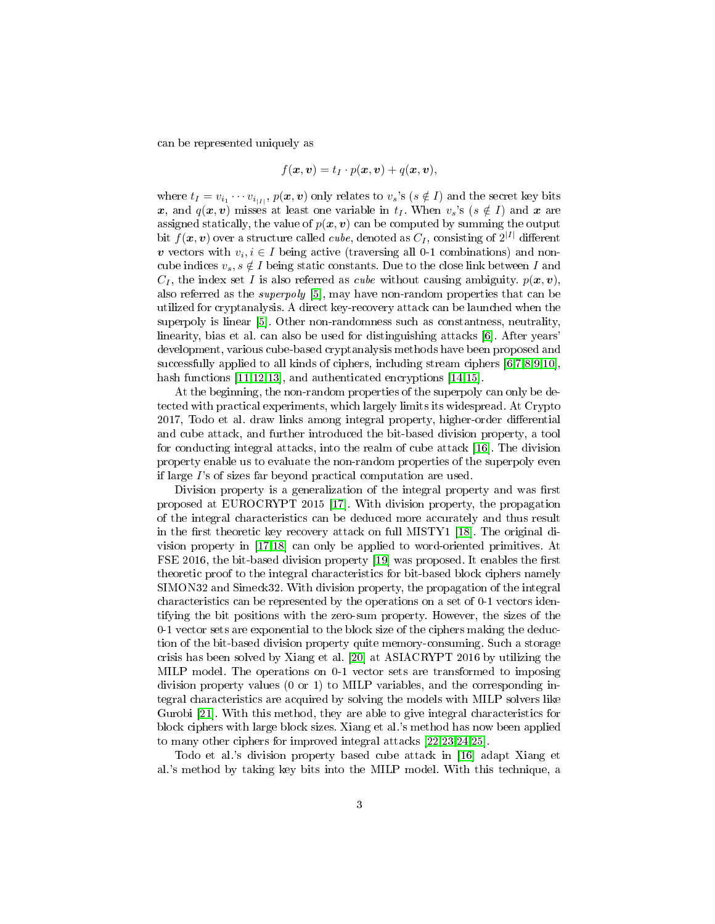can be represented uniquely as

$$
f(\boldsymbol{x},\boldsymbol{v})=t_I\cdot p(\boldsymbol{x},\boldsymbol{v})+q(\boldsymbol{x},\boldsymbol{v}),
$$

where  $t_I = v_{i_1} \cdots v_{i_{|I|}},$   $p(\bm{x},\bm{v})$  only relates to  $v_s$ 's  $(s \notin I)$  and the secret key bits x, and  $q(x, v)$  misses at least one variable in  $t<sub>I</sub>$ . When  $v<sub>s</sub>$ 's ( $s \notin I$ ) and x are assigned statically, the value of  $p(x, v)$  can be computed by summing the output bit  $f(\bm{x},\bm{v})$  over a structure called *cube*, denoted as  $C_I,$  consisting of  $2^{|I|}$  different v vectors with  $v_i, i \in I$  being active (traversing all 0-1 combinations) and noncube indices  $v_s, s \notin I$  being static constants. Due to the close link between I and  $C_I$ , the index set I is also referred as cube without causing ambiguity.  $p(x, v)$ , also referred as the superpoly [\[5\]](#page-28-2), may have non-random properties that can be utilized for cryptanalysis. A direct key-recovery attack can be launched when the superpoly is linear [\[5\]](#page-28-2). Other non-randomness such as constantness, neutrality, linearity, bias et al. can also be used for distinguishing attacks [\[6\]](#page-28-3). After years' development, various cube-based cryptanalysis methods have been proposed and successfully applied to all kinds of ciphers, including stream ciphers [\[6,](#page-28-3)[7,](#page-28-4)[8,](#page-28-5)[9](#page-28-6)[,10\]](#page-28-7), hash functions [\[11](#page-28-8)[,12](#page-28-9)[,13\]](#page-28-10), and authenticated encryptions [\[14](#page-28-11)[,15\]](#page-28-12).

At the beginning, the non-random properties of the superpoly can only be detected with practical experiments, which largely limits its widespread. At Crypto 2017, Todo et al. draw links among integral property, higher-order differential and cube attack, and further introduced the bit-based division property, a tool for conducting integral attacks, into the realm of cube attack [\[16\]](#page-28-13). The division property enable us to evaluate the non-random properties of the superpoly even if large  $\Gamma$ 's of sizes far beyond practical computation are used.

Division property is a generalization of the integral property and was first proposed at EUROCRYPT 2015 [\[17\]](#page-28-14). With division property, the propagation of the integral characteristics can be deduced more accurately and thus result in the first theoretic key recovery attack on full MISTY1 [\[18\]](#page-28-15). The original division property in [\[17,](#page-28-14)[18\]](#page-28-15) can only be applied to word-oriented primitives. At FSE 2016, the bit-based division property  $[19]$  was proposed. It enables the first theoretic proof to the integral characteristics for bit-based block ciphers namely SIMON32 and Simeck32. With division property, the propagation of the integral characteristics can be represented by the operations on a set of 0-1 vectors identifying the bit positions with the zero-sum property. However, the sizes of the 0-1 vector sets are exponential to the block size of the ciphers making the deduction of the bit-based division property quite memory-consuming. Such a storage crisis has been solved by Xiang et al. [\[20\]](#page-29-0) at ASIACRYPT 2016 by utilizing the MILP model. The operations on 0-1 vector sets are transformed to imposing division property values (0 or 1) to MILP variables, and the corresponding integral characteristics are acquired by solving the models with MILP solvers like Gurobi [\[21\]](#page-29-1). With this method, they are able to give integral characteristics for block ciphers with large block sizes. Xiang et al.'s method has now been applied to many other ciphers for improved integral attacks [\[22,](#page-29-2)[23](#page-29-3)[,24](#page-29-4)[,25\]](#page-29-5).

Todo et al.'s division property based cube attack in [\[16\]](#page-28-13) adapt Xiang et al.'s method by taking key bits into the MILP model. With this technique, a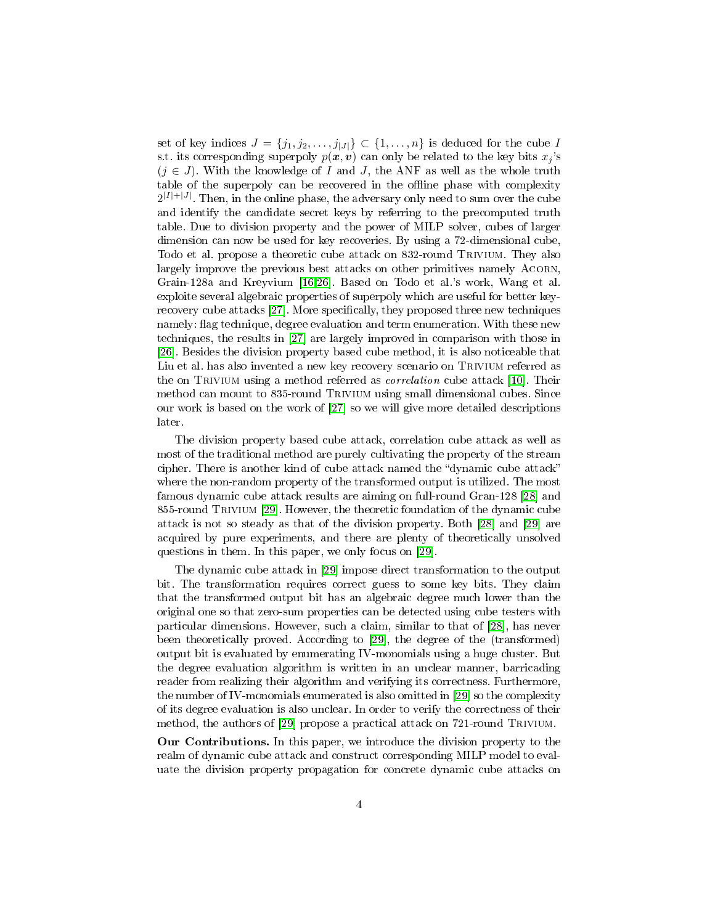set of key indices  $J = \{j_1, j_2, \ldots, j_{|J|}\} \subset \{1, \ldots, n\}$  is deduced for the cube I s.t. its corresponding superpoly  $p(x, v)$  can only be related to the key bits  $x_i$ 's  $(j \in J)$ . With the knowledge of I and J, the ANF as well as the whole truth table of the superpoly can be recovered in the offline phase with complexity  $2^{|I|+|J|}$ . Then, in the online phase, the adversary only need to sum over the cube and identify the candidate secret keys by referring to the precomputed truth table. Due to division property and the power of MILP solver, cubes of larger dimension can now be used for key recoveries. By using a 72-dimensional cube, Todo et al. propose a theoretic cube attack on 832-round Trivium. They also largely improve the previous best attacks on other primitives namely ACORN, Grain-128a and Kreyvium [\[16,](#page-28-13)[26\]](#page-29-6). Based on Todo et al.'s work, Wang et al. exploite several algebraic properties of superpoly which are useful for better key-recovery cube attacks [\[27\]](#page-29-7). More specifically, they proposed three new techniques namely: flag technique, degree evaluation and term enumeration. With these new techniques, the results in [\[27\]](#page-29-7) are largely improved in comparison with those in [\[26\]](#page-29-6). Besides the division property based cube method, it is also noticeable that Liu et al. has also invented a new key recovery scenario on TRIVIUM referred as the on TRIVIUM using a method referred as *correlation* cube attack [\[10\]](#page-28-7). Their method can mount to 835-round Trivium using small dimensional cubes. Since our work is based on the work of [\[27\]](#page-29-7) so we will give more detailed descriptions later.

The division property based cube attack, correlation cube attack as well as most of the traditional method are purely cultivating the property of the stream cipher. There is another kind of cube attack named the "dynamic cube attack" where the non-random property of the transformed output is utilized. The most famous dynamic cube attack results are aiming on full-round Gran-128 [\[28\]](#page-29-8) and 855-round Trivium [\[29\]](#page-29-9). However, the theoretic foundation of the dynamic cube attack is not so steady as that of the division property. Both [\[28\]](#page-29-8) and [\[29\]](#page-29-9) are acquired by pure experiments, and there are plenty of theoretically unsolved questions in them. In this paper, we only focus on [\[29\]](#page-29-9).

The dynamic cube attack in [\[29\]](#page-29-9) impose direct transformation to the output bit. The transformation requires correct guess to some key bits. They claim that the transformed output bit has an algebraic degree much lower than the original one so that zero-sum properties can be detected using cube testers with particular dimensions. However, such a claim, similar to that of [\[28\]](#page-29-8), has never been theoretically proved. According to [\[29\]](#page-29-9), the degree of the (transformed) output bit is evaluated by enumerating IV-monomials using a huge cluster. But the degree evaluation algorithm is written in an unclear manner, barricading reader from realizing their algorithm and verifying its correctness. Furthermore, the number of IV-monomials enumerated is also omitted in [\[29\]](#page-29-9) so the complexity of its degree evaluation is also unclear. In order to verify the correctness of their method, the authors of [\[29\]](#page-29-9) propose a practical attack on 721-round Trivium.

Our Contributions. In this paper, we introduce the division property to the realm of dynamic cube attack and construct corresponding MILP model to evaluate the division property propagation for concrete dynamic cube attacks on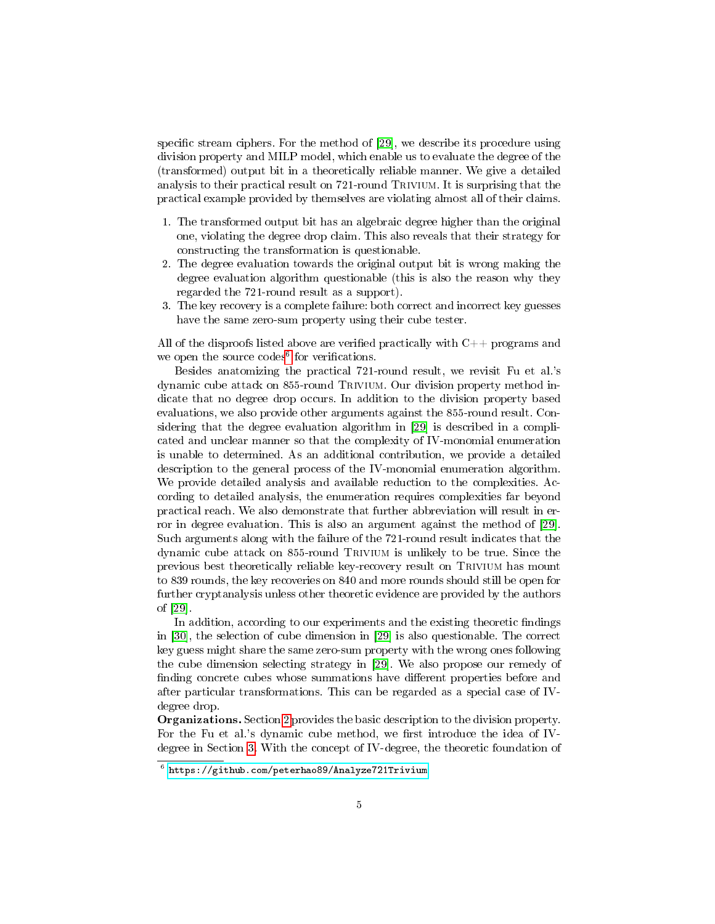specific stream ciphers. For the method of  $[29]$ , we describe its procedure using division property and MILP model, which enable us to evaluate the degree of the (transformed) output bit in a theoretically reliable manner. We give a detailed analysis to their practical result on 721-round TRIVIUM. It is surprising that the practical example provided by themselves are violating almost all of their claims.

- 1. The transformed output bit has an algebraic degree higher than the original one, violating the degree drop claim. This also reveals that their strategy for constructing the transformation is questionable.
- 2. The degree evaluation towards the original output bit is wrong making the degree evaluation algorithm questionable (this is also the reason why they regarded the 721-round result as a support).
- 3. The key recovery is a complete failure: both correct and incorrect key guesses have the same zero-sum property using their cube tester.

All of the disproofs listed above are verified practically with  $C++$  programs and we open the source codes<sup>[6](#page-4-0)</sup> for verifications.

Besides anatomizing the practical 721-round result, we revisit Fu et al.'s dynamic cube attack on 855-round Trivium. Our division property method indicate that no degree drop occurs. In addition to the division property based evaluations, we also provide other arguments against the 855-round result. Considering that the degree evaluation algorithm in [\[29\]](#page-29-9) is described in a complicated and unclear manner so that the complexity of IV-monomial enumeration is unable to determined. As an additional contribution, we provide a detailed description to the general process of the IV-monomial enumeration algorithm. We provide detailed analysis and available reduction to the complexities. According to detailed analysis, the enumeration requires complexities far beyond practical reach. We also demonstrate that further abbreviation will result in error in degree evaluation. This is also an argument against the method of [\[29\]](#page-29-9). Such arguments along with the failure of the 721-round result indicates that the dynamic cube attack on 855-round Trivium is unlikely to be true. Since the previous best theoretically reliable key-recovery result on Trivium has mount to 839 rounds, the key recoveries on 840 and more rounds should still be open for further cryptanalysis unless other theoretic evidence are provided by the authors of [\[29\]](#page-29-9).

In addition, according to our experiments and the existing theoretic findings in [\[30\]](#page-29-10), the selection of cube dimension in [\[29\]](#page-29-9) is also questionable. The correct key guess might share the same zero-sum property with the wrong ones following the cube dimension selecting strategy in [\[29\]](#page-29-9). We also propose our remedy of finding concrete cubes whose summations have different properties before and after particular transformations. This can be regarded as a special case of IVdegree drop.

Organizations. Section [2](#page-5-0) provides the basic description to the division property. For the Fu et al.'s dynamic cube method, we first introduce the idea of IVdegree in Section [3.](#page-13-0) With the concept of IV-degree, the theoretic foundation of

<span id="page-4-0"></span> $^6$  <https://github.com/peterhao89/Analyze721Trivium>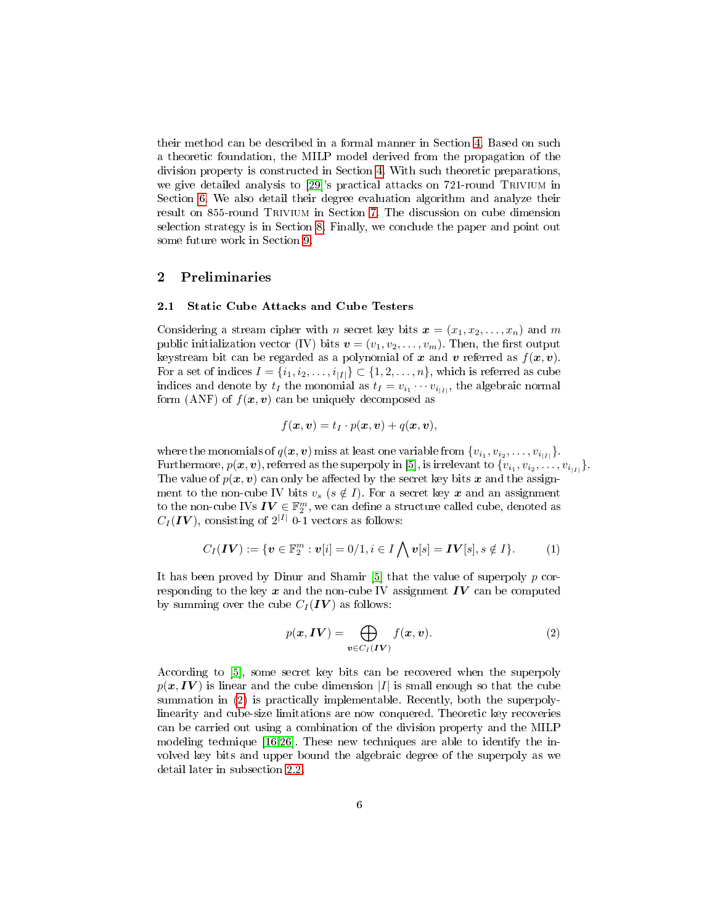their method can be described in a formal manner in Section [4.](#page-13-1) Based on such a theoretic foundation, the MILP model derived from the propagation of the division property is constructed in Section [4.](#page-13-1) With such theoretic preparations, we give detailed analysis to [\[29\]](#page-29-9)'s practical attacks on 721-round Trivium in Section [6.](#page-17-0) We also detail their degree evaluation algorithm and analyze their result on 855-round Trivium in Section [7.](#page-20-0) The discussion on cube dimension selection strategy is in Section [8.](#page-26-0) Finally, we conclude the paper and point out some future work in Section [9.](#page-27-2)

# <span id="page-5-0"></span>2 Preliminaries

### 2.1 Static Cube Attacks and Cube Testers

Considering a stream cipher with n secret key bits  $\mathbf{x} = (x_1, x_2, \ldots, x_n)$  and m public initialization vector (IV) bits  $\mathbf{v} = (v_1, v_2, \dots, v_m)$ . Then, the first output keystream bit can be regarded as a polynomial of x and v referred as  $f(x, v)$ . For a set of indices  $I = \{i_1, i_2, \ldots, i_{|I|}\} \subset \{1, 2, \ldots, n\}$ , which is referred as cube indices and denote by  $t_I$  the monomial as  $t_I = v_{i_1} \cdots v_{i_{|I|}}$ , the algebraic normal form (ANF) of  $f(x, v)$  can be uniquely decomposed as

$$
f(\boldsymbol{x},\boldsymbol{v})=t_I\cdot p(\boldsymbol{x},\boldsymbol{v})+q(\boldsymbol{x},\boldsymbol{v}),
$$

where the monomials of  $q(\bm{x},\bm{v})$  miss at least one variable from  $\{v_{i_1}, v_{i_2}, \ldots, v_{i_{|I|}}\}.$ Furthermore,  $p(\bm{x},\bm{v})$ , referred as the superpoly in [\[5\]](#page-28-2), is irrelevant to  $\{v_{i_1}, v_{i_2}, \ldots, v_{i_{|I|}}\}$ . The value of  $p(x, v)$  can only be affected by the secret key bits x and the assignment to the non-cube IV bits  $v_s$  ( $s \notin I$ ). For a secret key x and an assignment to the non-cube IVs  $\boldsymbol{IV} \in \mathbb{F}_2^m,$  we can define a structure called cube, denoted as  $C_I({\bf IV})$ , consisting of  $2^{|I|}$  0-1 vectors as follows:

<span id="page-5-2"></span>
$$
C_I(\boldsymbol{IV}) := \{ \boldsymbol{v} \in \mathbb{F}_2^m : \boldsymbol{v}[i] = 0/1, i \in I \bigwedge \boldsymbol{v}[s] = \boldsymbol{IV}[s], s \notin I \}. \tag{1}
$$

It has been proved by Dinur and Shamir  $[5]$  that the value of superpoly  $p$  corresponding to the key  $x$  and the non-cube IV assignment  $IV$  can be computed by summing over the cube  $C_I (IV)$  as follows:

<span id="page-5-1"></span>
$$
p(\mathbf{x}, \mathbf{IV}) = \bigoplus_{\mathbf{v} \in C_I(\mathbf{IV})} f(\mathbf{x}, \mathbf{v}).
$$
\n(2)

According to [\[5\]](#page-28-2), some secret key bits can be recovered when the superpoly  $p(x, IV)$  is linear and the cube dimension |I| is small enough so that the cube summation in [\(2\)](#page-5-1) is practically implementable. Recently, both the superpolylinearity and cube-size limitations are now conquered. Theoretic key recoveries can be carried out using a combination of the division property and the MILP modeling technique [\[16](#page-28-13)[,26\]](#page-29-6). These new techniques are able to identify the involved key bits and upper bound the algebraic degree of the superpoly as we detail later in subsection [2.2.](#page-6-0)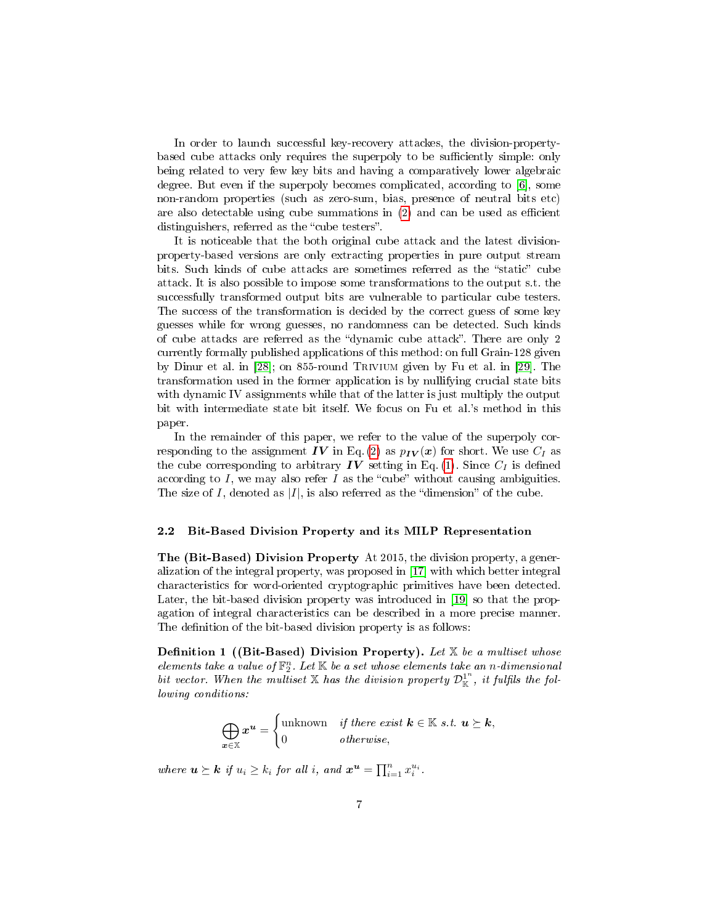In order to launch successful key-recovery attackes, the division-propertybased cube attacks only requires the superpoly to be sufficiently simple: only being related to very few key bits and having a comparatively lower algebraic degree. But even if the superpoly becomes complicated, according to [\[6\]](#page-28-3), some non-random properties (such as zero-sum, bias, presence of neutral bits etc) are also detectable using cube summations in  $(2)$  and can be used as efficient distinguishers, referred as the "cube testers".

It is noticeable that the both original cube attack and the latest divisionproperty-based versions are only extracting properties in pure output stream bits. Such kinds of cube attacks are sometimes referred as the "static" cube attack. It is also possible to impose some transformations to the output s.t. the successfully transformed output bits are vulnerable to particular cube testers. The success of the transformation is decided by the correct guess of some key guesses while for wrong guesses, no randomness can be detected. Such kinds of cube attacks are referred as the "dynamic cube attack". There are only 2 currently formally published applications of this method: on full Grain-128 given by Dinur et al. in [\[28\]](#page-29-8); on 855-round Trivium given by Fu et al. in [\[29\]](#page-29-9). The transformation used in the former application is by nullifying crucial state bits with dynamic IV assignments while that of the latter is just multiply the output bit with intermediate state bit itself. We focus on Fu et al.'s method in this paper.

In the remainder of this paper, we refer to the value of the superpoly cor-responding to the assignment IV in Eq. [\(2\)](#page-5-1) as  $p_{IV}(x)$  for short. We use  $C_I$  as the cube corresponding to arbitrary  $IV$  setting in Eq. [\(1\)](#page-5-2). Since  $C_I$  is defined according to  $I$ , we may also refer  $I$  as the "cube" without causing ambiguities. The size of I, denoted as  $|I|$ , is also referred as the "dimension" of the cube.

#### <span id="page-6-0"></span>2.2 Bit-Based Division Property and its MILP Representation

The (Bit-Based) Division Property At 2015, the division property, a generalization of the integral property, was proposed in [\[17\]](#page-28-14) with which better integral characteristics for word-oriented cryptographic primitives have been detected. Later, the bit-based division property was introduced in [\[19\]](#page-28-16) so that the propagation of integral characteristics can be described in a more precise manner. The definition of the bit-based division property is as follows:

**Definition 1** ((Bit-Based) Division Property). Let  $X$  be a multiset whose elements take a value of  $\mathbb{F}_2^n$ . Let  $\mathbb K$  be a set whose elements take an n-dimensional bit vector. When the multiset X has the division property  $\mathcal{D}_{\mathbb{K}}^{1^n}$ , it fulfils the following conditions:

> $\bigoplus$ x∈X  $x^{\boldsymbol{u}} =$  $\int$ unknown *if there exist*  $\mathbf{k} \in \mathbb{K}$  *s.t.*  $\mathbf{u} \succeq \mathbf{k}$ , 0 otherwise,

where  $u \succeq k$  if  $u_i \geq k_i$  for all i, and  $x^u = \prod_{i=1}^n x_i^{u_i}$ .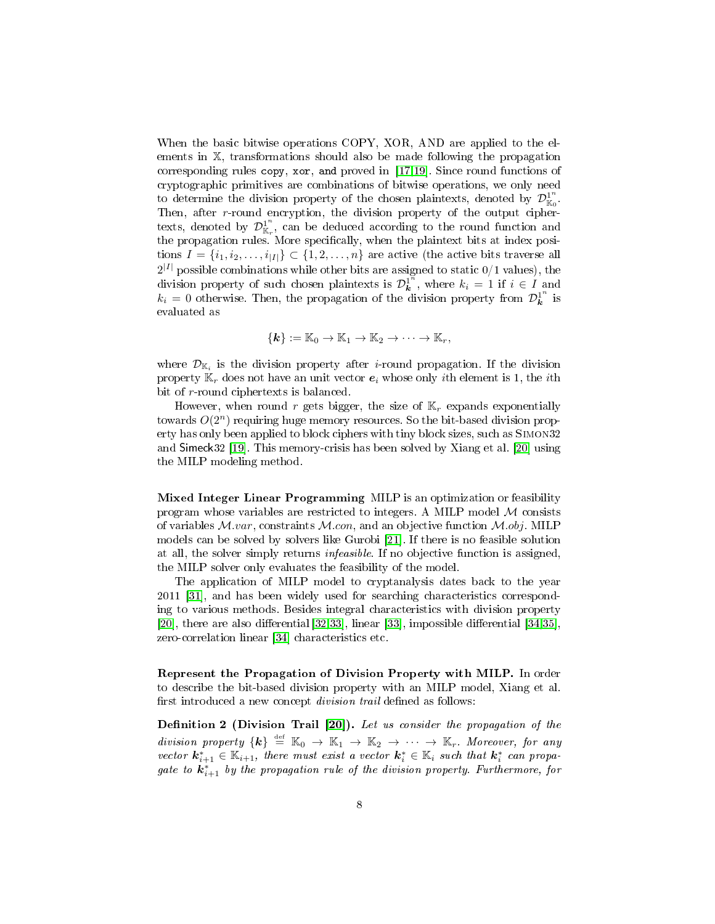When the basic bitwise operations COPY, XOR, AND are applied to the elements in X, transformations should also be made following the propagation corresponding rules copy, xor, and proved in [\[17](#page-28-14)[,19\]](#page-28-16). Since round functions of cryptographic primitives are combinations of bitwise operations, we only need to determine the division property of the chosen plaintexts, denoted by  $\mathcal{D}_{\mathbb{K}_0}^1$ . Then, after r-round encryption, the division property of the output ciphertexts, denoted by  $\mathcal{D}_{\mathbb{K}_r}^1$ , can be deduced according to the round function and the propagation rules. More specifically, when the plaintext bits at index positions  $I = \{i_1, i_2, \ldots, i_{|I|}\} \subset \{1, 2, \ldots, n\}$  are active (the active bits traverse all  $2^{|I|}$  possible combinations while other bits are assigned to static  $0/1$  values), the division property of such chosen plaintexts is  $\mathcal{D}_{\mathbf{k}}^{1^{\bar{n}}}$ , where  $k_i = 1$  if  $i \in I$  and  $k_i = 0$  otherwise. Then, the propagation of the division property from  $\mathcal{D}_{\mathbf{k}}^{1^n}$  is evaluated as

$$
\{\mathbf{k}\}:=\mathbb{K}_0\to\mathbb{K}_1\to\mathbb{K}_2\to\cdots\to\mathbb{K}_r,
$$

where  $\mathcal{D}_{\mathbb{K}_i}$  is the division property after  $i$ -round propagation. If the division property  $\mathbb{K}_r$  does not have an unit vector  $e_i$  whose only *i*th element is 1, the *i*th bit of r-round ciphertexts is balanced.

However, when round r gets bigger, the size of  $\mathbb{K}_r$  expands exponentially towards  $O(2^n)$  requiring huge memory resources. So the bit-based division property has only been applied to block ciphers with tiny block sizes, such as Simon32 and Simeck32 [\[19\]](#page-28-16). This memory-crisis has been solved by Xiang et al. [\[20\]](#page-29-0) using the MILP modeling method.

Mixed Integer Linear Programming MILP is an optimization or feasibility program whose variables are restricted to integers. A MILP model  $M$  consists of variables  $M-var$ , constraints  $M-con$ , and an objective function  $M.obj$ . MILP models can be solved by solvers like Gurobi [\[21\]](#page-29-1). If there is no feasible solution at all, the solver simply returns infeasible. If no objective function is assigned, the MILP solver only evaluates the feasibility of the model.

The application of MILP model to cryptanalysis dates back to the year 2011 [\[31\]](#page-29-11), and has been widely used for searching characteristics corresponding to various methods. Besides integral characteristics with division property  $[20]$ , there are also differential  $[32,33]$  $[32,33]$ , linear  $[33]$ , impossible differential  $[34,35]$  $[34,35]$ , zero-correlation linear [\[34\]](#page-29-14) characteristics etc.

Represent the Propagation of Division Property with MILP. In order to describe the bit-based division property with an MILP model, Xiang et al. first introduced a new concept *division trail* defined as follows:

Definition 2 (Division Trail  $[20]$ ). Let us consider the propagation of the division property  $\{k\} \stackrel{\text{def}}{=} \mathbb{K}_0 \to \mathbb{K}_1 \to \mathbb{K}_2 \to \cdots \to \mathbb{K}_r$ . Moreover, for any vector  $\mathbf{k}_{i+1}^* \in \mathbb{K}_{i+1}$ , there must exist a vector  $\mathbf{k}_i^* \in \mathbb{K}_i$  such that  $\mathbf{k}_i^*$  can propagate to  $\boldsymbol{k}^*_{i+1}$  by the propagation rule of the division property. Furthermore, for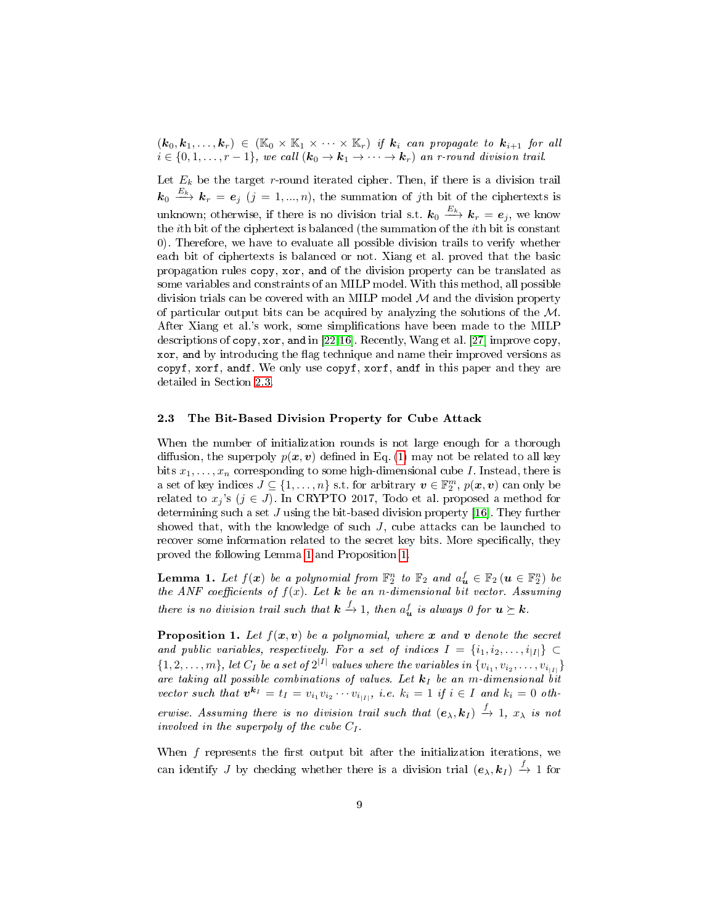$(k_0, k_1, \ldots, k_r) \in (\mathbb{K}_0 \times \mathbb{K}_1 \times \cdots \times \mathbb{K}_r)$  if  $k_i$  can propagate to  $k_{i+1}$  for all  $i \in \{0, 1, \ldots, r-1\}$ , we call  $(\mathbf{k}_0 \to \mathbf{k}_1 \to \cdots \to \mathbf{k}_r)$  an r-round division trail.

Let  $E_k$  be the target r-round iterated cipher. Then, if there is a division trail  $\bm{k}_0 \stackrel{E_k}{\longrightarrow} \bm{k}_r = \bm{e}_j \,\,(j=1,...,n),$  the summation of jth bit of the ciphertexts is unknown; otherwise, if there is no division trial s.t.  $\bm{k}_0 \stackrel{E_k}{\longrightarrow} \bm{k}_r = \bm{e}_j,$  we know the ith bit of the ciphertext is balanced (the summation of the ith bit is constant 0). Therefore, we have to evaluate all possible division trails to verify whether each bit of ciphertexts is balanced or not. Xiang et al. proved that the basic propagation rules copy, xor, and of the division property can be translated as some variables and constraints of an MILP model. With this method, all possible division trials can be covered with an MILP model  $\mathcal M$  and the division property of particular output bits can be acquired by analyzing the solutions of the  $M$ . After Xiang et al.'s work, some simplications have been made to the MILP descriptions of copy, xor, and in [\[22,](#page-29-2)[16\]](#page-28-13). Recently, Wang et al. [\[27\]](#page-29-7) improve copy, xor, and by introducing the flag technique and name their improved versions as copyf, xorf, andf. We only use copyf, xorf, andf in this paper and they are detailed in Section [2.3.](#page-8-0)

### <span id="page-8-0"></span>2.3 The Bit-Based Division Property for Cube Attack

When the number of initialization rounds is not large enough for a thorough diffusion, the superpoly  $p(x, v)$  defined in Eq. [\(1\)](#page-5-2) may not be related to all key bits  $x_1, \ldots, x_n$  corresponding to some high-dimensional cube I. Instead, there is a set of key indices  $J \subseteq \{1, \ldots, n\}$  s.t. for arbitrary  $\boldsymbol{v} \in \mathbb{F}_2^m$ ,  $p(\boldsymbol{x}, \boldsymbol{v})$  can only be related to  $x_j$ 's ( $j \in J$ ). In CRYPTO 2017, Todo et al. proposed a method for determining such a set  $J$  using the bit-based division property [\[16\]](#page-28-13). They further showed that, with the knowledge of such  $J$ , cube attacks can be launched to recover some information related to the secret key bits. More specifically, they proved the following Lemma [1](#page-8-1) and Proposition [1.](#page-8-2)

<span id="page-8-1"></span>**Lemma 1.** Let  $f(x)$  be a polynomial from  $\mathbb{F}_2^n$  to  $\mathbb{F}_2$  and  $a_u^f \in \mathbb{F}_2$   $(u \in \mathbb{F}_2^n)$  be the ANF coefficients of  $f(x)$ . Let  $\boldsymbol{k}$  be an n-dimensional bit vector. Assuming there is no division trail such that  $\bm{k} \stackrel{f}{\rightarrow} 1$ , then  $a^f_{\bm{u}}$  is always 0 for  $\bm{u} \succeq \bm{k}$ .

<span id="page-8-2"></span>**Proposition 1.** Let  $f(x, v)$  be a polynomial, where x and v denote the secret and public variables, respectively. For a set of indices  $I = \{i_1, i_2, \ldots, i_{|I|}\} \subset$  $\{1,2,\ldots,m\},$  let  $C_I$  be a set of  $2^{|I|}$  values where the variables in  $\{v_{i_1},v_{i_2},\ldots,v_{i_{|I|}}\}$ are taking all possible combinations of values. Let  $k_I$  be an m-dimensional bit vector such that  $v^{k_I} = t_I = v_{i_1}v_{i_2}\cdots v_{i_{|I|}},$  i.e.  $k_i = 1$  if  $i \in I$  and  $k_i = 0$  otherwise. Assuming there is no division trail such that  $(e_\lambda, k_I) \stackrel{f}{\to} 1$ ,  $x_\lambda$  is not involved in the superpoly of the cube  $C_I$ .

When  $f$  represents the first output bit after the initialization iterations, we can identify J by checking whether there is a division trial  $(e_\lambda, k_I) \stackrel{f}{\to} 1$  for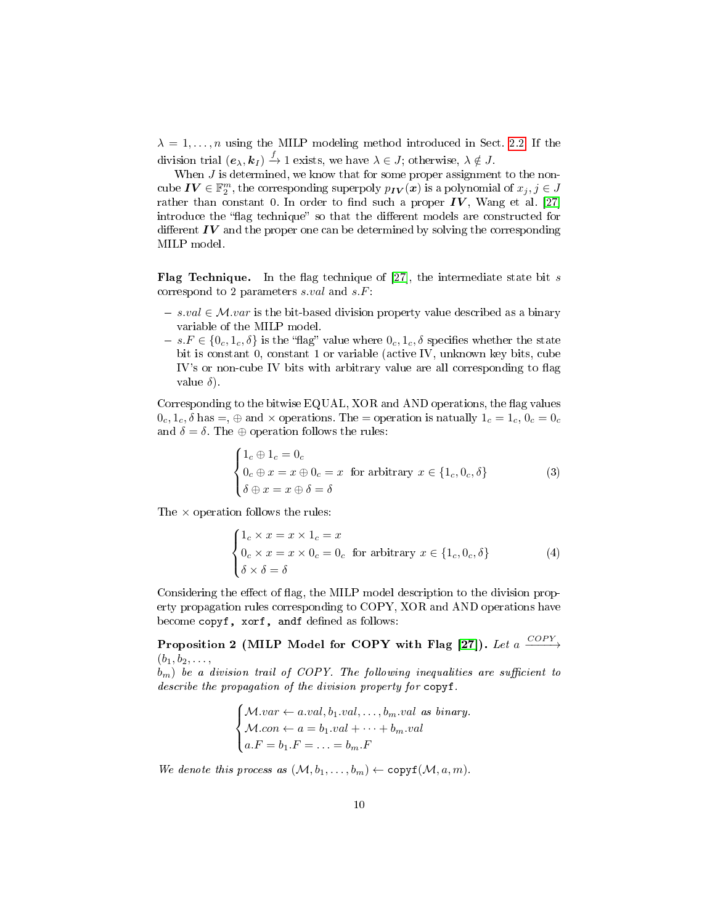$\lambda = 1, \ldots, n$  using the MILP modeling method introduced in Sect. [2.2.](#page-6-0) If the division trial  $(e_\lambda, k_I) \stackrel{f}{\to} 1$  exists, we have  $\lambda \in J$ ; otherwise,  $\lambda \notin J$ .

When  $J$  is determined, we know that for some proper assignment to the noncube  $\bm{IV} \in \mathbb{F}_2^m,$  the corresponding superpoly  $p_{\bm{IV}}(\bm{x})$  is a polynomial of  $x_j, j \in J$ rather than constant 0. In order to find such a proper  $IV$ , Wang et al. [\[27\]](#page-29-7) introduce the "flag technique" so that the different models are constructed for different  $IV$  and the proper one can be determined by solving the corresponding MILP model.

**Flag Technique.** In the flag technique of [\[27\]](#page-29-7), the intermediate state bit s correspond to 2 parameters s.val and s.F:

- $s. val \in \mathcal{M}.var$  is the bit-based division property value described as a binary variable of the MILP model.
- $s. F \in \{0_c, 1_c, \delta\}$  is the "flag" value where  $0_c, 1_c, \delta$  specifies whether the state bit is constant 0, constant 1 or variable (active IV, unknown key bits, cube IV's or non-cube IV bits with arbitrary value are all corresponding to flag value  $\delta$ ).

Corresponding to the bitwise EQUAL, XOR and AND operations, the flag values  $0_c, 1_c, \delta$  has  $=$ ,  $\oplus$  and  $\times$  operations. The  $=$  operation is natually  $1_c = 1_c, 0_c = 0_c$ and  $\delta = \delta$ . The  $\oplus$  operation follows the rules:

$$
\begin{cases} 1_c \oplus 1_c = 0_c \\ 0_c \oplus x = x \oplus 0_c = x \text{ for arbitrary } x \in \{1_c, 0_c, \delta\} \\ \delta \oplus x = x \oplus \delta = \delta \end{cases}
$$
 (3)

The  $\times$  operation follows the rules:

$$
\begin{cases} 1_c \times x = x \times 1_c = x \\ 0_c \times x = x \times 0_c = 0_c \text{ for arbitrary } x \in \{1_c, 0_c, \delta\} \\ \delta \times \delta = \delta \end{cases}
$$
 (4)

Considering the effect of flag, the MILP model description to the division property propagation rules corresponding to COPY, XOR and AND operations have become copyf, xorf, andf defined as follows:

Proposition 2 (MILP Model for COPY with Flag [\[27\]](#page-29-7)). Let a  $\xrightarrow{COPY}$  $(b_1, b_2, \ldots,$ 

 $b_m$ ) be a division trail of COPY. The following inequalities are sufficient to describe the propagation of the division property for copyf.

> $\sqrt{ }$  $\int$  $\overline{a}$  $M-var \leftarrow a.val, b_1.val, ..., b_m.val \text{ as binary.}$  $Mcon \leftarrow a = b_1.val + \cdots + b_m.val$  $a.F = b_1.F = \ldots = b_m.F$

We denote this process as  $(M, b_1, \ldots, b_m) \leftarrow \text{copyf}(M, a, m)$ .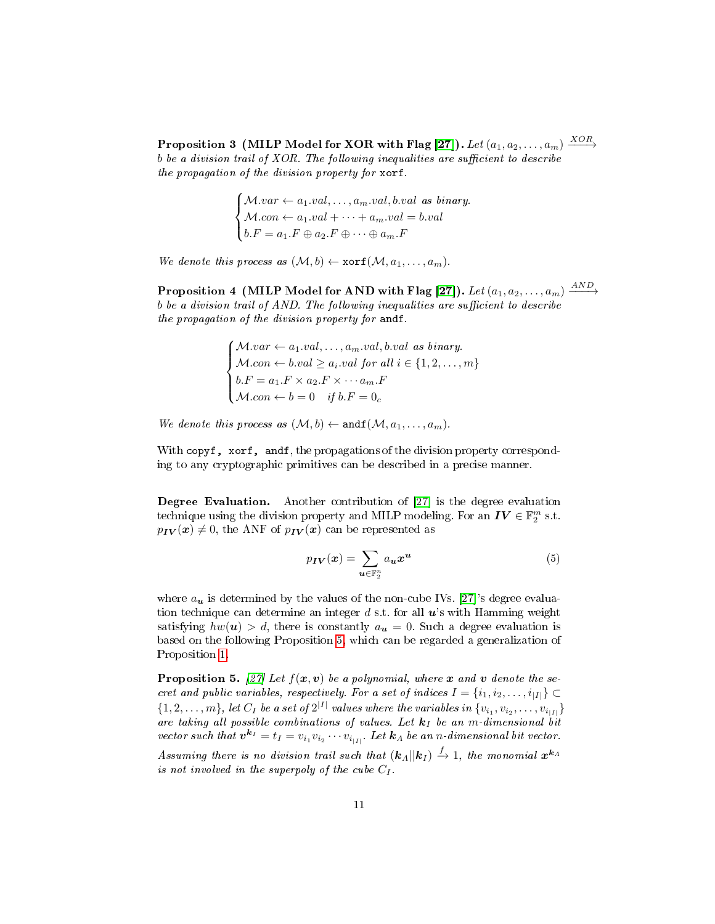Proposition 3 (MILP Model for XOR with Flag [\[27\]](#page-29-7)). Let  $(a_1, a_2, \ldots, a_m) \xrightarrow{XOR}$ b be a division trail of  $XOR$ . The following inequalities are sufficient to describe the propagation of the division property for xorf.

> $\sqrt{ }$  $\int$  $\mathcal{L}$  $M-var \leftarrow a_1.val, \ldots, a_m.val, b.val \text{ as binary.}$  $Mcon \leftarrow a_1.val + \cdots + a_m.val = b.val$  $b.F = a_1.F \oplus a_2.F \oplus \cdots \oplus a_m.F$

We denote this process as  $(M, b) \leftarrow \text{xorf}(M, a_1, \ldots, a_m)$ .

Proposition 4 (MILP Model for AND with Flag [\[27\]](#page-29-7)). Let  $(a_1, a_2, \ldots, a_m) \xrightarrow{AND}$  $b$  be a division trail of AND. The following inequalities are sufficient to describe the propagation of the division property for andf.

> $\sqrt{ }$  $\int$  $\overline{\mathcal{L}}$  $M-var \leftarrow a_1.val, \ldots, a_m.val, b.val \text{ as binary.}$  $M.con \leftarrow b.val \ge a_i.val$  for all  $i \in \{1, 2, ..., m\}$  $b.F = a_1.F \times a_2.F \times \cdots a_m.F$  $Mcon \leftarrow b = 0$  if  $b.F = 0_c$

We denote this process as  $(\mathcal{M}, b) \leftarrow \texttt{andf}(\mathcal{M}, a_1, \ldots, a_m)$ .

With copyf, xorf, and f, the propagations of the division property corresponding to any cryptographic primitives can be described in a precise manner.

Degree Evaluation. Another contribution of [\[27\]](#page-29-7) is the degree evaluation technique using the division property and MILP modeling. For an  $\boldsymbol{IV} \in \mathbb{F}_2^m$  s.t.  $p_{IV}(x) \neq 0$ , the ANF of  $p_{IV}(x)$  can be represented as

$$
p_{IV}(x) = \sum_{u \in \mathbb{F}_2^n} a_u x^u \tag{5}
$$

where  $a_{\boldsymbol{u}}$  is determined by the values of the non-cube IVs. [\[27\]](#page-29-7)'s degree evaluation technique can determine an integer d s.t. for all  $u$ 's with Hamming weight satisfying  $hw(u) > d$ , there is constantly  $a_u = 0$ . Such a degree evaluation is based on the following Proposition [5,](#page-10-0) which can be regarded a generalization of Proposition [1.](#page-8-2)

<span id="page-10-0"></span>**Proposition 5.** [\[27\]](#page-29-7) Let  $f(x, v)$  be a polynomial, where x and v denote the secret and public variables, respectively. For a set of indices  $I = \{i_1, i_2, \ldots, i_{|I|}\} \subset$  $\{1,2,\ldots,m\},$  let  $C_I$  be a set of  $2^{|I|}$  values where the variables in  $\{v_{i_1},v_{i_2},\ldots,v_{i_{|I|}}\}$ are taking all possible combinations of values. Let  $k_I$  be an m-dimensional bit vector such that  $v^{k_I} = t_I = v_{i_1}v_{i_2}\cdots v_{i_{|I|}}$ . Let  $k_A$  be an n-dimensional bit vector.

Assuming there is no division trail such that  $({\bm k}_A||{\bm k}_I)\stackrel{f}{\to} 1,$  the monomial  ${\bm x}^{{\bm k}_A}$ is not involved in the superpoly of the cube  $C_I$ .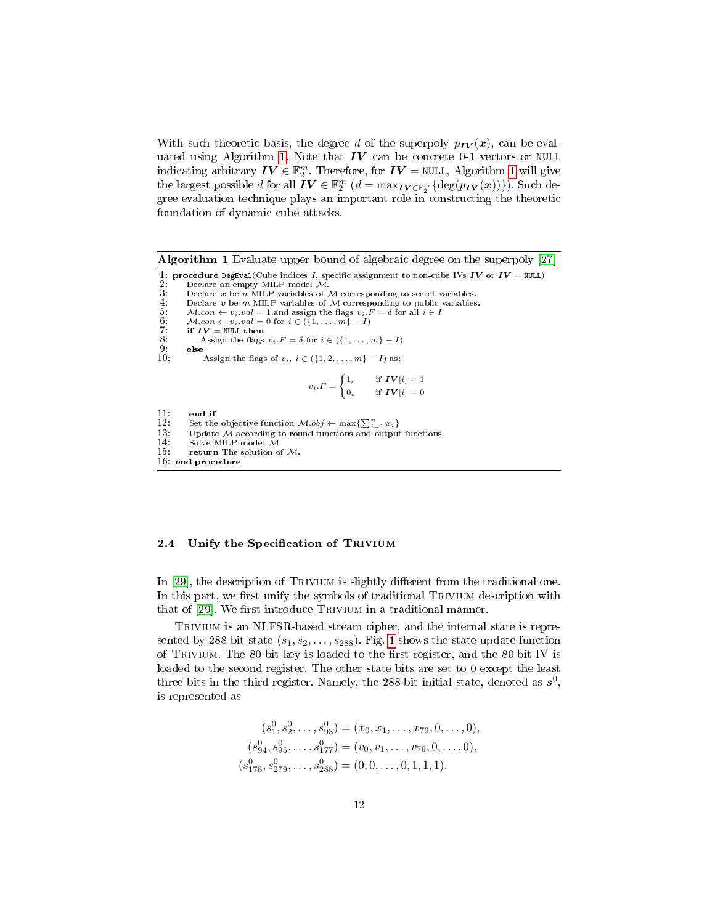With such theoretic basis, the degree d of the superpoly  $p_{IV}(x)$ , can be eval-uated using Algorithm [1.](#page-11-0) Note that  $IV$  can be concrete 0-1 vectors or NULL indicating arbitrary  $\textbf{IV} \in \mathbb{F}_2^m$ . Therefore, for  $\textbf{IV} =$  NULL, Algorithm [1](#page-11-0) will give the largest possible  $d$  for all  $\bm{\bar{I}} \bm{V} \in \mathbb{F}_2^m$   $(d = \max_{\bm{IV} \in \mathbb{F}_2^m} \{ \deg(p_{\bm{IV}}(\bm{x})) \})$ . Such degree evaluation technique plays an important role in constructing the theoretic foundation of dynamic cube attacks.

<span id="page-11-0"></span>Algorithm 1 Evaluate upper bound of algebraic degree on the superpoly [\[27\]](#page-29-7) 1: **procedure** DegEval(Cube indices I, specific assignment to non-cube IVs IV or  $IV = NULL$ )<br>2: Declare an empty MILP model M. 2: Declare an empty MILP model M.<br>3: Declare **x** be n MILP variables of M corresponding to secret variables.<br>4: Declare **v** be m MILP variables of M corresponding to public variables. 5:  $Mcon \leftarrow v_i.val = 1$  and assign the flags  $v_i.F = \delta$  for all  $i \in I$ <br>6:  $Mcon \leftarrow v_i.val = 0$  for  $i \in (\{1, ..., m\} - I)$ <br>7: if  $IV = NULL$  then 6:  $M.con \leftarrow v_i.val = 0$  for  $i \in (\overline{\{1, ..., m\}} - I)$ <br>7: **if**  $IV = NULL$  then 8: Assign the flags  $v_i.F = \delta$  for  $i \in (\{1, ..., m\} - I)$ <br>9: else  $\begin{array}{cc} 9: & \text{else} \ 10: & \end{array}$ Assign the flags of  $v_i, i \in (\{1, 2, \ldots, m\} - I)$  as:  $v_i.F = \begin{cases} 1_c & \text{if } IV[i] = 1 \\ 0 & \text{if } IV[i] = 0 \end{cases}$  $0_c$  if  $\boldsymbol{IV}[i] = 0$  $\begin{array}{cc} 11: & \text{end if} \\ 12: & \text{Set the} \end{array}$ 12: Set the objective function  $\mathcal{M}.obj \leftarrow \max\{\sum_{i=1}^{n} x_i\}$ 13: Update  $M$  according to round functions and output functions 14: Solve MILP model  $M$ 14: Solve MILP model  $\tilde{M}$ <br>15: **return** The solution of return The solution of  $M$ . 16: end procedure

#### <span id="page-11-1"></span>2.4 Unify the Specification of TRIVIUM

In [\[29\]](#page-29-9), the description of TRIVIUM is slightly different from the traditional one. In this part, we first unify the symbols of traditional TRIVIUM description with that of [\[29\]](#page-29-9). We first introduce TRIVIUM in a traditional manner.

TRIVIUM is an NLFSR-based stream cipher, and the internal state is represented by 288-bit state  $(s_1, s_2, \ldots, s_{288})$ . Fig. [1](#page-12-0) shows the state update function of TRIVIUM. The 80-bit key is loaded to the first register, and the 80-bit IV is loaded to the second register. The other state bits are set to 0 except the least three bits in the third register. Namely, the 288-bit initial state, denoted as  $s^0$ , is represented as

$$
(s_1^0, s_2^0, \dots, s_{93}^0) = (x_0, x_1, \dots, x_{79}, 0, \dots, 0),
$$
  
\n
$$
(s_{94}^0, s_{95}^0, \dots, s_{177}^0) = (v_0, v_1, \dots, v_{79}, 0, \dots, 0),
$$
  
\n
$$
(s_{178}^0, s_{279}^0, \dots, s_{288}^0) = (0, 0, \dots, 0, 1, 1, 1).
$$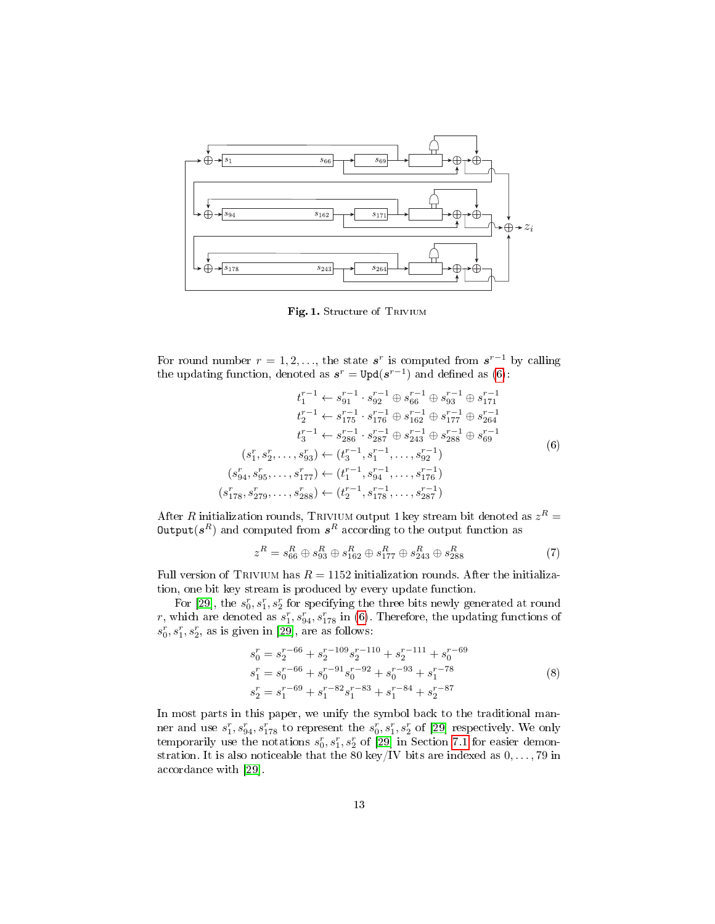

<span id="page-12-0"></span>Fig. 1. Structure of TRIVIUM

For round number  $r = 1, 2, \ldots$ , the state  $s^r$  is computed from  $s^{r-1}$  by calling the updating function, denoted as  $s^r = \text{Upd}(s^{r-1})$  and defined as [\(6\)](#page-12-1):

<span id="page-12-1"></span>
$$
t_1^{r-1} \leftarrow s_{91}^{r-1} \cdot s_{92}^{r-1} \oplus s_{66}^{r-1} \oplus s_{93}^{r-1} \oplus s_{171}^{r-1}
$$
  
\n
$$
t_2^{r-1} \leftarrow s_{175}^{r-1} \cdot s_{176}^{r-1} \oplus s_{162}^{r-1} \oplus s_{177}^{r-1} \oplus s_{264}^{r-1}
$$
  
\n
$$
t_3^{r-1} \leftarrow s_{286}^{r-1} \cdot s_{287}^{r-1} \oplus s_{243}^{r-1} \oplus s_{288}^{r-1} \oplus s_{69}^{r-1}
$$
  
\n
$$
(s_1^r, s_2^r, \dots, s_{93}^r) \leftarrow (t_3^{r-1}, s_1^{r-1}, \dots, s_{92}^{r-1})
$$
  
\n
$$
(s_{94}^r, s_{95}^r, \dots, s_{177}^r) \leftarrow (t_1^{r-1}, s_{94}^{r-1}, \dots, s_{17}^{r-1})
$$
  
\n
$$
(s_{178}^r, s_{279}^r, \dots, s_{288}^r) \leftarrow (t_2^{r-1}, s_{178}^{r-1}, \dots, s_{287}^{r-1})
$$

After  $R$  initialization rounds, TRIVIUM output 1 key stream bit denoted as  $z^R =$  $\textsf{Output}({\bm{s}}^{R})$  and computed from  ${\bm{s}}^{R}$  according to the output function as

 $\overline{\mathcal{L}}$ 

$$
z^{R} = s_{66}^{R} \oplus s_{93}^{R} \oplus s_{162}^{R} \oplus s_{177}^{R} \oplus s_{243}^{R} \oplus s_{288}^{R}
$$
(7)

Full version of TRIVIUM has  $R = 1152$  initialization rounds. After the initialization, one bit key stream is produced by every update function.

For [\[29\]](#page-29-9), the  $s_0^r, s_1^r, s_2^r$  for specifying the three bits newly generated at round r, which are denoted as  $s_1^r$ ,  $s_{94}^r$ ,  $s_{178}^r$  in [\(6\)](#page-12-1). Therefore, the updating functions of  $s_0^r, s_1^r, s_2^r$ , as is given in [\[29\]](#page-29-9), are as follows:

<span id="page-12-2"></span>
$$
s_0^r = s_2^{r-66} + s_2^{r-109} s_2^{r-110} + s_2^{r-111} + s_0^{r-69}
$$
  
\n
$$
s_1^r = s_0^{r-66} + s_0^{r-91} s_0^{r-92} + s_0^{r-93} + s_1^{r-78}
$$
  
\n
$$
s_2^r = s_1^{r-69} + s_1^{r-82} s_1^{r-83} + s_1^{r-84} + s_2^{r-87}
$$
\n(8)

In most parts in this paper, we unify the symbol back to the traditional manner and use  $s_1^r, s_{94}^r, s_{178}^r$  to represent the  $s_0^r, s_1^r, s_2^r$  of [\[29\]](#page-29-9) respectively. We only temporarily use the notations  $s_0^r, s_1^r, s_2^r$  of [\[29\]](#page-29-9) in Section [7.1](#page-21-0) for easier demonstration. It is also noticeable that the 80 key/IV bits are indexed as  $0, \ldots, 79$  in accordance with [\[29\]](#page-29-9).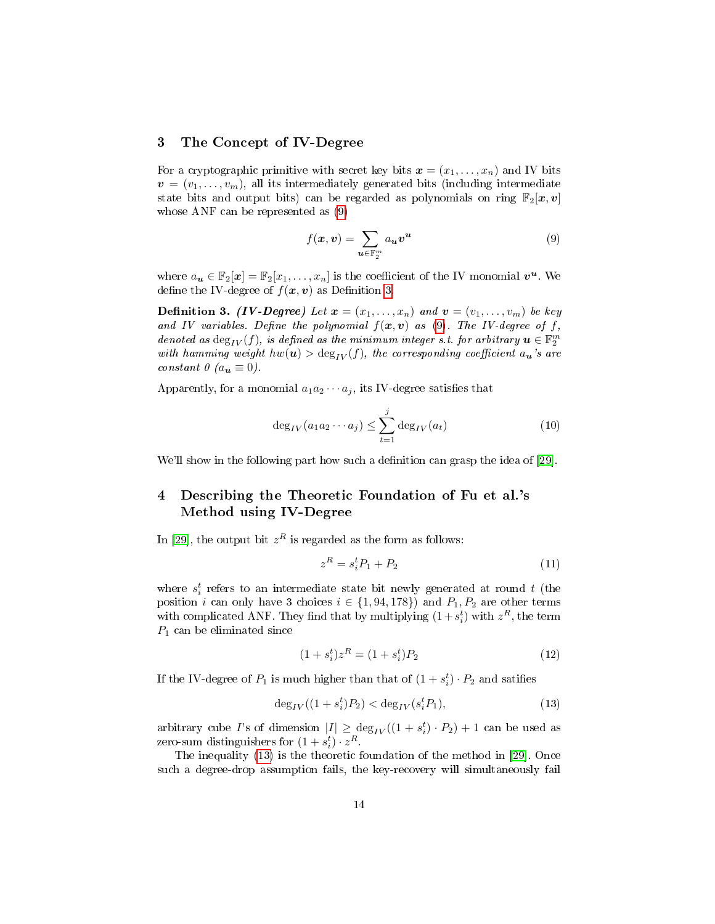### <span id="page-13-0"></span>3 The Concept of IV-Degree

For a cryptographic primitive with secret key bits  $\mathbf{x} = (x_1, \ldots, x_n)$  and IV bits  $v = (v_1, \ldots, v_m)$ , all its intermediately generated bits (including intermediate state bits and output bits) can be regarded as polynomials on ring  $\mathbb{F}_2[\boldsymbol{x}, \boldsymbol{v}]$ whose ANF can be represented as [\(9\)](#page-13-2)

<span id="page-13-3"></span><span id="page-13-2"></span>
$$
f(\mathbf{x}, \mathbf{v}) = \sum_{\mathbf{u} \in \mathbb{F}_2^m} a_{\mathbf{u}} \mathbf{v}^{\mathbf{u}} \tag{9}
$$

where  $a_{\boldsymbol{u}} \in \mathbb{F}_2[\boldsymbol{x}] = \mathbb{F}_2[x_1, \ldots, x_n]$  is the coefficient of the IV monomial  $\boldsymbol{v}^{\boldsymbol{u}}$ . We define the IV-degree of  $f(x, v)$  as Definition [3.](#page-13-3)

**Definition 3.** (IV-Degree) Let  $x = (x_1, \ldots, x_n)$  and  $v = (v_1, \ldots, v_m)$  be key and IV variables. Define the polynomial  $f(x, v)$  as [\(9\)](#page-13-2). The IV-degree of f, denoted as  $\deg_{IV}(f)$ , is defined as the minimum integer s.t. for arbitrary  $\boldsymbol{u}\in\mathbb{F}_2^m$ with hamming weight  $hw(u) > \deg_{IV}(f)$ , the corresponding coefficient  $a_u$ 's are constant  $\theta$  ( $a_{\bf u} \equiv 0$ ).

Apparently, for a monomial  $a_1 a_2 \cdots a_j$ , its IV-degree satisfies that

<span id="page-13-7"></span>
$$
\deg_{IV}(a_1 a_2 \cdots a_j) \le \sum_{t=1}^j \deg_{IV}(a_t) \tag{10}
$$

We'll show in the following part how such a definition can grasp the idea of [\[29\]](#page-29-9).

# <span id="page-13-1"></span>4 Describing the Theoretic Foundation of Fu et al.'s Method using IV-Degree

In [\[29\]](#page-29-9), the output bit  $z^R$  is regarded as the form as follows:

<span id="page-13-5"></span>
$$
z^R = s_i^t P_1 + P_2 \tag{11}
$$

where  $s_i^t$  refers to an intermediate state bit newly generated at round t (the position *i* can only have 3 choices  $i \in \{1, 94, 178\}$  and  $P_1, P_2$  are other terms with complicated ANF. They find that by multiplying  $(1+s_i^t)$  with  $z^R$ , the term  $P_1$  can be eliminated since

<span id="page-13-6"></span>
$$
(1 + s_i^t)z^R = (1 + s_i^t)P_2
$$
\n(12)

If the IV-degree of  $P_1$  is much higher than that of  $(1 + s_i^t) \cdot P_2$  and satifies

<span id="page-13-4"></span>
$$
\deg_{IV}((1+s_i^t)P_2) < \deg_{IV}(s_i^t P_1),\tag{13}
$$

arbitrary cube *I*'s of dimension  $|I| \ge \deg_{IV}((1+s_i^t) \cdot P_2) + 1$  can be used as zero-sum distinguishers for  $(1 + s_i^t) \cdot z^R$ .

The inequality [\(13\)](#page-13-4) is the theoretic foundation of the method in [\[29\]](#page-29-9). Once such a degree-drop assumption fails, the key-recovery will simultaneously fail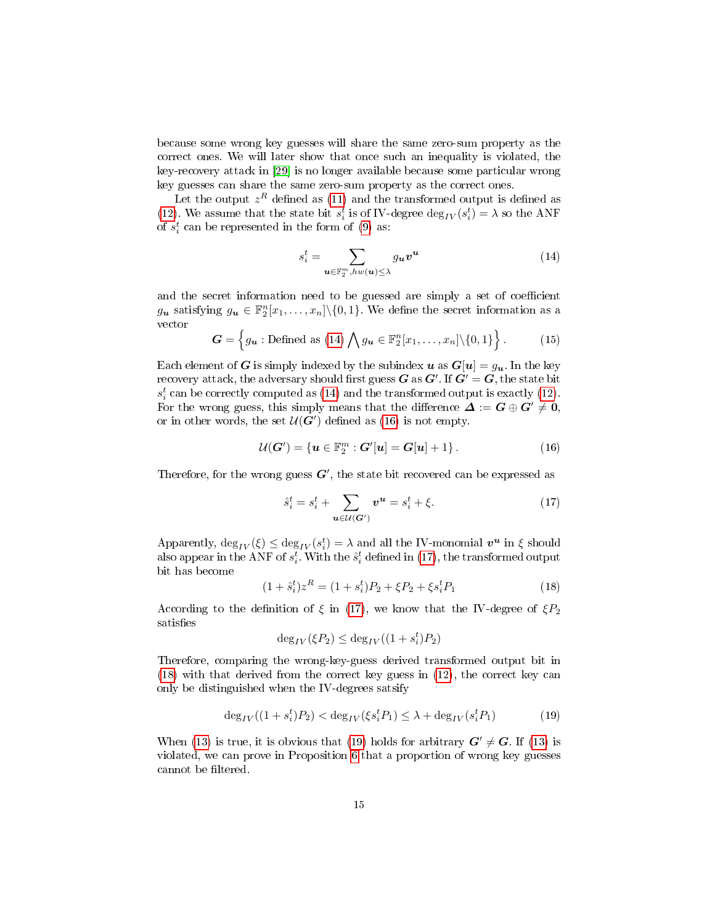because some wrong key guesses will share the same zero-sum property as the correct ones. We will later show that once such an inequality is violated, the key-recovery attack in [\[29\]](#page-29-9) is no longer available because some particular wrong key guesses can share the same zero-sum property as the correct ones.

Let the output  $z^R$  defined as [\(11\)](#page-13-5) and the transformed output is defined as [\(12\)](#page-13-6). We assume that the state bit  $s_i^t$  is of IV-degree  $\deg_{IV}(s_i^t) = \lambda$  so the ANF of  $s_i^t$  can be represented in the form of [\(9\)](#page-13-2) as:

<span id="page-14-0"></span>
$$
s_i^t = \sum_{\mathbf{u} \in \mathbb{F}_2^m, h \le (\mathbf{u}) \le \lambda} g_{\mathbf{u}} \mathbf{v}^{\mathbf{u}} \tag{14}
$$

and the secret information need to be guessed are simply a set of coefficient  $g_{\boldsymbol{u}}$  satisfying  $g_{\boldsymbol{u}} \in \mathbb{F}_2^n[x_1,\ldots,x_n]\setminus\{0,1\}$ . We define the secret information as a vector

$$
\mathbf{G} = \left\{ g_{\mathbf{u}} : \text{Defined as (14)} \bigwedge g_{\mathbf{u}} \in \mathbb{F}_2^n[x_1, \dots, x_n] \setminus \{0, 1\} \right\}. \tag{15}
$$

Each element of G is simply indexed by the subindex u as  $G[u] = g_u$ . In the key recovery attack, the adversary should first guess  $\bm{G}$  as  $\bm{G}'$  . If  $\bm{G}'=\bm{G},$  the state bit  $s_i^t$  can be correctly computed as [\(14\)](#page-14-0) and the transformed output is exactly [\(12\)](#page-13-6). For the wrong guess, this simply means that the difference  $\Delta := G \oplus G' \neq 0$ , or in other words, the set  $\mathcal{U}(\bm{G}')$  defined as [\(16\)](#page-14-1) is not empty.

<span id="page-14-1"></span>
$$
U(G') = \{ \mathbf{u} \in \mathbb{F}_2^m : G'[u] = G[u] + 1 \}.
$$
 (16)

Therefore, for the wrong guess  $G'$ , the state bit recovered can be expressed as

<span id="page-14-2"></span>
$$
\hat{s}_i^t = s_i^t + \sum_{u \in \mathcal{U}(G')} \mathbf{v}^u = s_i^t + \xi. \tag{17}
$$

Apparently,  $\deg_{IV}(\xi) \le \deg_{IV}(s_i^t) = \lambda$  and all the IV-monomial  $v^u$  in  $\xi$  should also appear in the ANF of  $s_i^t$ . With the  $\hat{s}_i^t$  defined in [\(17\)](#page-14-2), the transformed output bit has become

<span id="page-14-3"></span>
$$
(1 + \hat{s}_i^t)z^R = (1 + s_i^t)P_2 + \xi P_2 + \xi s_i^t P_1 \tag{18}
$$

According to the definition of  $\xi$  in [\(17\)](#page-14-2), we know that the IV-degree of  $\xi P_2$ satisfies

$$
\deg_{IV}(\xi P_2) \le \deg_{IV}((1+s_i^t)P_2)
$$

Therefore, comparing the wrong-key-guess derived transformed output bit in [\(18\)](#page-14-3) with that derived from the correct key guess in [\(12\)](#page-13-6), the correct key can only be distinguished when the IV-degrees satsify

<span id="page-14-5"></span><span id="page-14-4"></span>
$$
\deg_{IV}((1+s_i^t)P_2) < \deg_{IV}(\xi s_i^t P_1) \le \lambda + \deg_{IV}(s_i^t P_1) \tag{19}
$$

When [\(13\)](#page-13-4) is true, it is obvious that [\(19\)](#page-14-4) holds for arbitrary  $G' \neq G$ . If (13) is violated, we can prove in Proposition [6](#page-14-5) that a proportion of wrong key guesses cannot be filtered.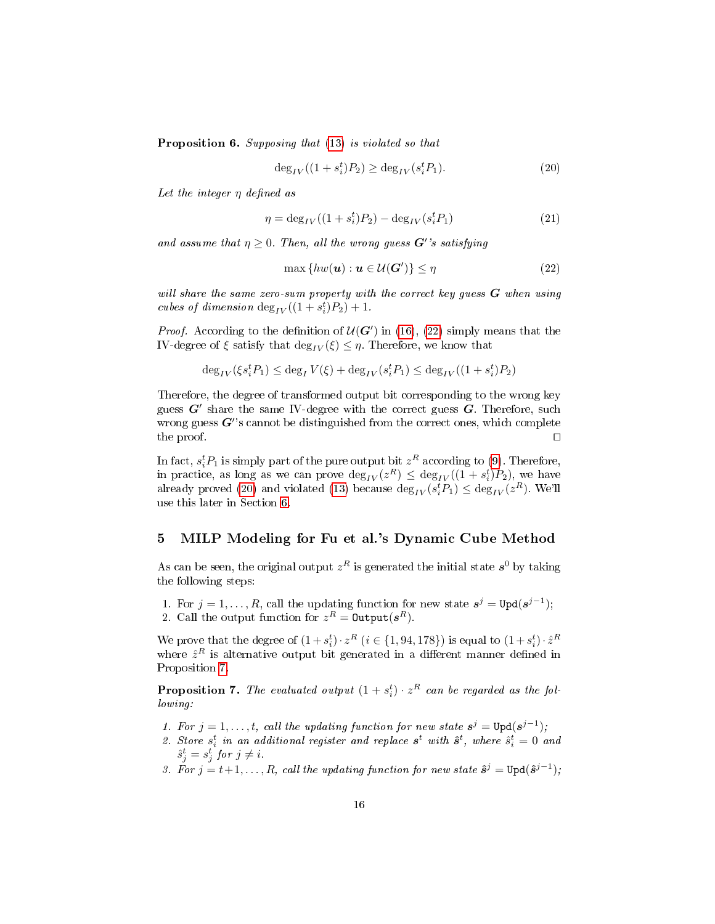**Proposition 6.** Supposing that [\(13\)](#page-13-4) is violated so that

<span id="page-15-1"></span>
$$
\deg_{IV}((1+s_i^t)P_2) \ge \deg_{IV}(s_i^t P_1). \tag{20}
$$

Let the integer  $\eta$  defined as

<span id="page-15-4"></span>
$$
\eta = \deg_{IV}((1 + s_i^t)P_2) - \deg_{IV}(s_i^t P_1) \tag{21}
$$

and assume that  $\eta \geq 0$ . Then, all the wrong guess  $G'$ 's satisfying

<span id="page-15-0"></span>
$$
\max\{hw(\mathbf{u}): \mathbf{u} \in \mathcal{U}(\mathbf{G}')\} \le \eta \tag{22}
$$

will share the same zero-sum property with the correct key guess  $G$  when using cubes of dimension  $\deg_{IV}((1+s_i^t)P_2)+1$ .

*Proof.* According to the definition of  $U(G')$  in [\(16\)](#page-14-1), [\(22\)](#page-15-0) simply means that the IV-degree of  $\xi$  satisfy that  $\deg_{IV}(\xi) \leq \eta$ . Therefore, we know that

$$
\deg_{IV}(\xi s_i^t P_1) \leq \deg_{I} V(\xi) + \deg_{IV}(s_i^t P_1) \leq \deg_{IV}((1+s_i^t) P_2)
$$

Therefore, the degree of transformed output bit corresponding to the wrong key guess  $G'$  share the same IV-degree with the correct guess  $G$ . Therefore, such wrong guess  $G^{\prime}$ 's cannot be distinguished from the correct ones, which complete the proof.  $\Box$ 

In fact,  $s_i^t P_1$  is simply part of the pure output bit  $z^R$  according to [\(9\)](#page-13-2). Therefore, in practice, as long as we can prove  $\deg_{IV}(z^R) \leq \deg_{IV}((1+s_i^t)P_2)$ , we have already proved [\(20\)](#page-15-1) and violated [\(13\)](#page-13-4) because  $\deg_{IV}(s_i^t P_1) \leq \deg_{IV}(z^R)$ . We'll use this later in Section [6.](#page-17-0)

## <span id="page-15-3"></span>5 MILP Modeling for Fu et al.'s Dynamic Cube Method

As can be seen, the original output  $z^R$  is generated the initial state  $s^0$  by taking the following steps:

1. For  $j = 1, ..., R$ , call the updating function for new state  $s^j = \text{Upd}(s^{j-1})$ ; 2. Call the output function for  $z^R = \text{Output}(s^R)$ .

<span id="page-15-2"></span>We prove that the degree of  $(1+s_i^t) \cdot z^R$   $(i \in \{1, 94, 178\})$  is equal to  $(1+s_i^t) \cdot \hat{z}^R$ where  $\hat{z}^R$  is alternative output bit generated in a different manner defined in Proposition [7.](#page-15-2)

**Proposition 7.** The evaluated output  $(1 + s_i^t) \cdot z^R$  can be regarded as the following:

- 1. For  $j = 1, ..., t$ , call the updating function for new state  $s^j = \text{Upd}(s^{j-1})$ ;
- 2. Store  $s_i^t$  in an additional register and replace  $s^t$  with  $\hat{s}^t$ , where  $\hat{s}_i^t = 0$  and  $\hat{s}_j^t = s_j^t$  for  $j \neq i$ .
- 3. For  $j = t+1, \ldots, R$ , call the updating function for new state  $\hat{s}^j = \text{Upd}(\hat{s}^{j-1})$ ;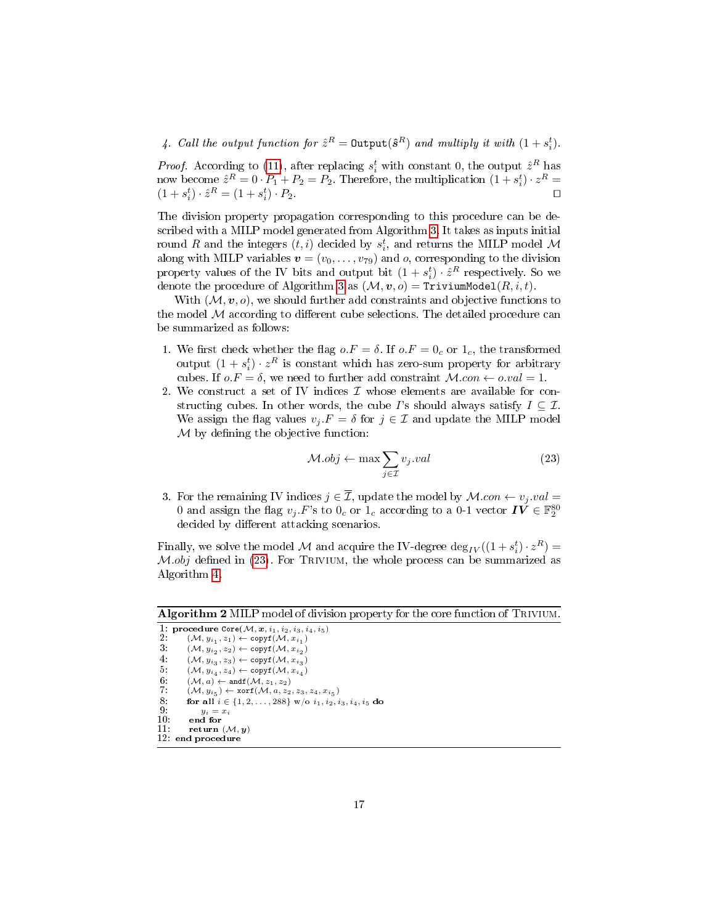4. Call the output function for  $\hat{z}^R =$  Output( $\hat{s}^R$ ) and multiply it with  $(1 + s_i^t)$ .

*Proof.* According to [\(11\)](#page-13-5), after replacing  $s_i^t$  with constant 0, the output  $\hat{z}^R$  has now become  $\hat{z}^R = 0 \cdot P_1 + P_2 = P_2$ . Therefore, the multiplication  $(1 + s_i^t) \cdot z^R =$  $(1 + s_i^t) \cdot \hat{z}^R = (1 + s_i^t)$  $\big) \cdot P_2$ .

The division property propagation corresponding to this procedure can be described with a MILP model generated from Algorithm [3.](#page-17-1) It takes as inputs initial round  $R$  and the integers  $(t,i)$  decided by  $s_i^t$ , and returns the MILP model  $\mathcal M$ along with MILP variables  $\mathbf{v} = (v_0, \dots, v_{79})$  and *o*, corresponding to the division property values of the IV bits and output bit  $(1 + s_i^t) \cdot \hat{z}^R$  respectively. So we denote the procedure of Algorithm [3](#page-17-1) as  $(\mathcal{M}, v, o) =$  TriviumModel $(R, i, t)$ .

With  $(M, v, o)$ , we should further add constraints and objective functions to the model  $M$  according to different cube selections. The detailed procedure can be summarized as follows:

- 1. We first check whether the flag  $o.F = \delta$ . If  $o.F = 0_c$  or  $1_c$ , the transformed output  $(1 + s_i^t) \cdot z^R$  is constant which has zero-sum property for arbitrary cubes. If  $o.F = \delta$ , we need to further add constraint  $M.con \leftarrow o.val = 1$ .
- 2. We construct a set of IV indices  $\mathcal I$  whose elements are available for constructing cubes. In other words, the cube I's should always satisfy  $I \subseteq \mathcal{I}$ . We assign the flag values  $v_j.F = \delta$  for  $j \in \mathcal{I}$  and update the MILP model  $M$  by defining the objective function:

<span id="page-16-0"></span>
$$
\mathcal{M}.obj \leftarrow \max \sum_{j \in \mathcal{I}} v_j.val \tag{23}
$$

3. For the remaining IV indices  $j \in \overline{\mathcal{I}}$ , update the model by  $\mathcal{M}.con \leftarrow v_j.val =$ 0 and assign the flag  $v_j.F$ 's to  $0_c$  or  $1_c$  according to a 0-1 vector  $I\check{V} \in \mathbb{F}_2^{80}$ decided by different attacking scenarios.

Finally, we solve the model  $\mathcal M$  and acquire the IV-degree  $\deg_{IV}((1+s^t_i)\cdot z^R) =$  $M.obj$  defined in [\(23\)](#page-16-0). For TRIVIUM, the whole process can be summarized as Algorithm [4.](#page-18-0)

Algorithm 2 MILP model of division property for the core function of TRIVIUM.

```
1: procedure \text{Core}(\mathcal{M}, x, i_1, i_2, i_3, i_4, i_5)<br>2: (\mathcal{M}, y_{i_1}, z_1) \leftarrow \text{copyf}(\mathcal{M}, x_{i_1})3: (\mathcal{M}, y_{i_2}, z_2) \leftarrow \text{copyf}(\mathcal{M}, x_{i_2})4: (\mathcal{M}, y_{i_3}, z_3) \leftarrow \text{copyf}(\mathcal{M}, x_{i_3})5: \qquad (\mathcal{M}, y_{i_4}, z_4) \leftarrow \text{copyf}(\mathcal{M}, x_{i_4})6: (M, a) \leftarrow \text{andf}(\mathcal{M}, z_1, z_2)<br>7: (\mathcal{M}, u_{iz}) \leftarrow \text{xorf}(\mathcal{M}, a, z_2)7: (\mathcal{M}, y_{i_5}) \leftarrow \texttt{xorf}(\mathcal{M}, a, z_2, z_3, z_4, x_{i_5})8: for all i \in \{1, 2, ..., 288\} w/o i_1, i_2, i_3, i_4, i_5 do q_i.
9: y_i = x_i<br>10: end for
10: end for 11: return
                return (\mathcal{M},\boldsymbol{y})12: end procedur
```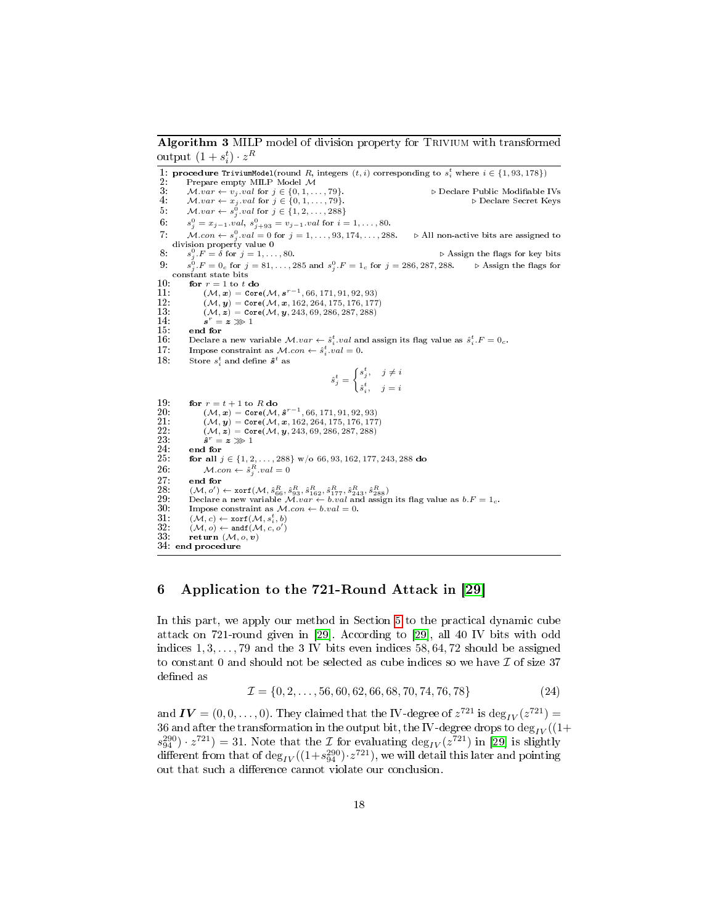<span id="page-17-1"></span>Algorithm 3 MILP model of division property for TRIVIUM with transformed output  $(1 + s_i^t) \cdot z^R$ 

1: **procedure TriviumModel**(round *R*, integers  $(t, i)$  corresponding to  $s_i^t$  where  $i \in \{1, 93, 178\}$ )<br>2: Prepare empty MILP Model M 3:  $M.var \leftarrow v_j$  .val for  $j \in \{0, 1, ..., 79\}$ .<br>
4:  $M.var \leftarrow x_j$  .val for  $j \in \{0, 1, ..., 79\}$ . Declare Public Modifiable IVs 4:  $M.var \leftarrow x_j.val$  for  $j \in \{0, 1, ..., 79\}$ .  $\triangleright$  Declare Secret Keys 5:  $M-var \leftarrow s_j^0.val$  for  $j \in \{1, 2, ..., 288\}$  $6:$  $j_j^0 = x_{j-1}.val, s_{j+93}^0 = v_{j-1}.val$  for  $i = 1, ..., 80$ . 7:  $Mcon \leftarrow s_i^0$ 7:  $\mathcal{M}.con \leftarrow s_j^0. val = 0$  for  $j = 1, ..., 93, 174, ..., 288.$   $\triangleright$  All non-active bits are assigned to division property value 0<br>8:  $s_j^0.F = \delta$  for  $j = 1, ..., 80.$   $\triangleright$  Assign the flags for key bits 9:  $s_j^0.F = 0_c$  for  $j = 81, ..., 285$  and  $s_j^0.F = 1_c$  for  $j = 286, 287, 288.$   $\triangleright$  Assign the flags for constant state bits 10: for  $r = 1$  to t do<br>11:  $(M, x) = \text{Corr}$  $11: \hspace{1cm} (\mathcal{M}, \bm{x}) = \texttt{Core}(\mathcal{M}, \bm{s}^{r-1}, 66, 171, 91, 92, 93) \ 12: \hspace{1cm} (\mathcal{M}, \bm{y}) = \texttt{Core}(\mathcal{M}, \bm{x}, 162, 264, 175, 176, 177)$ 13:  $(M, z) = \text{Core}(M, y, 243, 69, 286, 287, 288)$  $\frac{14}{15}$ :  $s^r = z \ggg 1$ 15: end for<br>16: Declare 16: Declare a new variable  $\mathcal{M}.var \leftarrow \hat{s}_i^t.val$  and assign its flag value as  $\hat{s}_i^t.F = 0_c$ . 17: Impose constraint as  $\mathcal{M}.con \leftarrow \hat{s}_i^t.val = 0.$ 18: Store  $s_i^t$  and define  $\hat{\boldsymbol{s}}^t$  as  $\hat{s}_j^t = \begin{cases} s_j^t, & j \neq i \\ t, & \end{cases}$  $\hat{s}_i^t$ ,  $j = i$ 19: for  $r = t + 1$  to R do<br>20:  $(\mathcal{M}, \mathbf{x}) = \text{Core}(\mathcal{M})$ 20:  $(\mathcal{M}, \mathbf{x}) = \text{Core}(\mathcal{M}, \hat{\mathbf{s}}^{r-1}, 66, 171, 91, 92, 93)$ 21:  $(M, y) = \text{Core}(M, x, 162, 264, 175, 176, 177)$ <br>  $22: (M, z) = \text{Core}(M, y, 243, 69, 286, 287, 288)$  $( \mathcal{M}, \boldsymbol{z}) = \texttt{Core}(\mathcal{M}, \boldsymbol{y}, 243, 69, 286, 287, 288)$  $\frac{23}{24}$  $\hat{\boldsymbol{s}}^{r} = \boldsymbol{z} \ggg 1$  $\frac{24:}{25:}$  end for  $\frac{1}{2}$ 25: **for all**  $j \in \{1, 2, ..., 288\}$  w/o 66, 93, 162, 177, 243, 288 do 26:  $M.\text{con} \leftarrow \hat{s}_i^R.\text{val} = 0$ 26:  $M.con \leftarrow \hat{s}_j^R.val = 0$ 27: end for<br>28:  $(\mathcal{M}, o')$ 28:  $(\mathcal{M}, o') \leftarrow \text{xorf}(\mathcal{M}, \hat{s}_{66}^R, \hat{s}_{93}^R, \hat{s}_{162}^R, \hat{s}_{177}^R, \hat{s}_{243}^R, \hat{s}_{288}^R)$ <br>29: Declare a new variable  $\mathcal{M}.var \leftarrow b.val$  and assign its flag value as  $b.F = 1_c$ .<br>30: Impose constraint as  $\mathcal{M}.con \leftarrow b.val = 0$ .  $31: \qquad (\mathcal{M}, c) \leftarrow \texttt{xorf}(\mathcal{M}, s^t_i, b) \ 32: \qquad (\mathcal{M}, o) \leftarrow \texttt{andf}(\mathcal{M}, c, o')$ 33: return  $(\mathcal{M}, o, v)$ 34: end procedure

# <span id="page-17-0"></span>6 Application to the 721-Round Attack in [\[29\]](#page-29-9)

In this part, we apply our method in Section [5](#page-15-3) to the practical dynamic cube attack on 721-round given in [\[29\]](#page-29-9). According to [\[29\]](#page-29-9), all 40 IV bits with odd indices  $1, 3, \ldots, 79$  and the 3 IV bits even indices  $58, 64, 72$  should be assigned to constant 0 and should not be selected as cube indices so we have  $\mathcal I$  of size 37 defined as

<span id="page-17-2"></span>
$$
\mathcal{I} = \{0, 2, \dots, 56, 60, 62, 66, 68, 70, 74, 76, 78\}
$$
\n
$$
(24)
$$

and  $\boldsymbol{IV}=(0,0,\ldots,0).$  They claimed that the IV-degree of  $z^{721}$  is  $\mathrm{deg}_{IV}(z^{721})=$ 36 and after the transformation in the output bit, the IV-degree drops to  $\deg_{IV}((1+\frac{1}{2})^2)$  $s_{94}^{290}$ ) ·  $z^{721}$ ) = 31. Note that the  $\mathcal{I}$  for evaluating  $\deg_{IV}(z^{721})$  in [\[29\]](#page-29-9) is slightly different from that of  $\deg_{IV}((1+s_{94}^{290}) \cdot z^{721})$ , we will detail this later and pointing out that such a difference cannot violate our conclusion.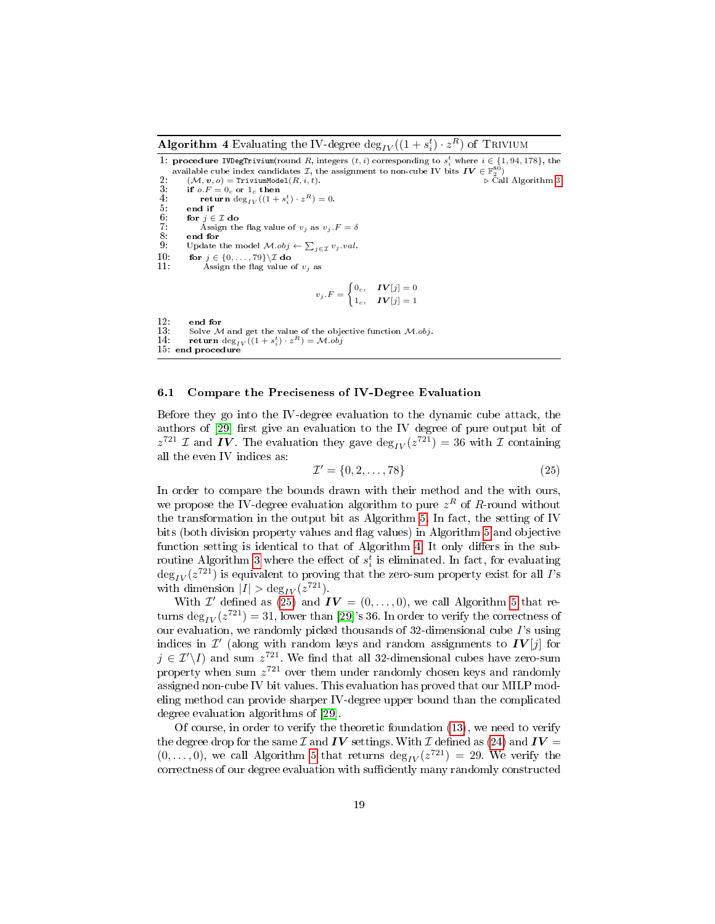<span id="page-18-0"></span>Algorithm 4 Evaluating the IV-degree  $\deg_{IV}((1+s^t_i)\cdot z^R)$  of TRIVIUM

1: procedure IVDegTrivium(round R, integers  $(t, i)$  corresponding to  $s_i^t$  where  $i \in \{1, 94, 178\}$ , the available cube index candidates  $\mathcal{I}$ , the assignment to non-cube IV bits  $\textbf{IV} \in \mathbb{F}_2^{80}$ <br>2:  $(\mathcal{M}, \mathbf{v}, o) = \text{TriviumModel}(R, i, t).$ 

3: if  $o.F = 0c$  or  $1c$  then<br>4: return deg<sub>*IV*</sub>((1+ 4: **return** deg<sub>IV</sub> $((1 + s_i^t) \cdot z^R) = 0.$  $\begin{array}{ll} 5: & \textbf{end if} \\ 6: & \textbf{for } j \in \end{array}$ 6: for  $j \in \mathcal{I}$  do<br>7: Assign th 7: Assign the flag value of  $v_j$  as  $v_j.F = \delta$ <br>8. end for 8: end for<br>9: Update 9: Update the model  $\mathcal{M}.obj \leftarrow \sum_{j \in \mathcal{I}} v_j.val$ . 10: for  $j \in \{0, \ldots, 79\} \setminus \mathcal{I}$  do 11: Assign the flag value of Assign the flag value of  $v_j$  as  $v_j.F = \begin{cases} 0_c, & IV[j] = 0 \\ 1 & IV[j] = 1 \end{cases}$  $1_c, \quad IV[j] = 1$ 

12: end for<br>13: Solve  $\lambda$ 13: Solve M and get the value of the objective function M.obj.<br>14: return deg<sub>IV</sub> ((1 + s<sup>t</sup><sub>i</sub>) · z<sup>R</sup>) = M.obj 14: return deg<sub>I</sub><br>15: end procedure

#### <span id="page-18-2"></span>6.1 Compare the Preciseness of IV-Degree Evaluation

Before they go into the IV-degree evaluation to the dynamic cube attack, the authors of [\[29\]](#page-29-9) first give an evaluation to the IV degree of pure output bit of  $z^{721}$  *I* and *IV*. The evaluation they gave  $\deg_{IV}(z^{721}) = 36$  with *I* containing all the even IV indices as:

<span id="page-18-1"></span>
$$
\mathcal{I}' = \{0, 2, \dots, 78\} \tag{25}
$$

In order to compare the bounds drawn with their method and the with ours, we propose the IV-degree evaluation algorithm to pure  $z^R$  of  $R$ -round without the transformation in the output bit as Algorithm [5.](#page-19-0) In fact, the setting of IV bits (both division property values and flag values) in Algorithm [5](#page-19-0) and objective function setting is identical to that of Algorithm [4.](#page-18-0) It only differs in the sub-routine Algorithm [3](#page-17-1) where the effect of  $s_i^t$  is eliminated. In fact, for evaluating  $\deg_{IV}(z^{721})$  is equivalent to proving that the zero-sum property exist for all  $I$ 's with dimension  $|I| > \deg_{IV}(z^{721})$ .

With  $\mathcal{I}'$  defined as [\(25\)](#page-18-1) and  $\boldsymbol{IV} = (0, \ldots, 0)$ , we call Algorithm [5](#page-19-0) that returns  $\deg_{IV}(z^{721}) = 31$ , lower than [\[29\]](#page-29-9)'s 36. In order to verify the correctness of our evaluation, we randomly picked thousands of  $32$ -dimensional cube  $\Gamma$ 's using indices in  $\mathcal{I}'$  (along with random keys and random assignments to  $\bm{IV}[j]$  for  $j \in \mathcal{I}'\backslash I$  and sum  $z^{721}$ . We find that all 32-dimensional cubes have zero-sum property when sum  $z^{721}$  over them under randomly chosen keys and randomly assigned non-cube IV bit values. This evaluation has proved that our MILP modeling method can provide sharper IV-degree upper bound than the complicated degree evaluation algorithms of [\[29\]](#page-29-9).

Of course, in order to verify the theoretic foundation [\(13\)](#page-13-4), we need to verify the degree drop for the same  $\mathcal I$  and  $IV$  settings. With  $\mathcal I$  defined as [\(24\)](#page-17-2) and  $IV =$  $(0, \ldots, 0)$ , we call Algorithm [5](#page-19-0) that returns  $\deg_{IV}(z^{721}) = 29$ . We verify the correctness of our degree evaluation with sufficiently many randomly constructed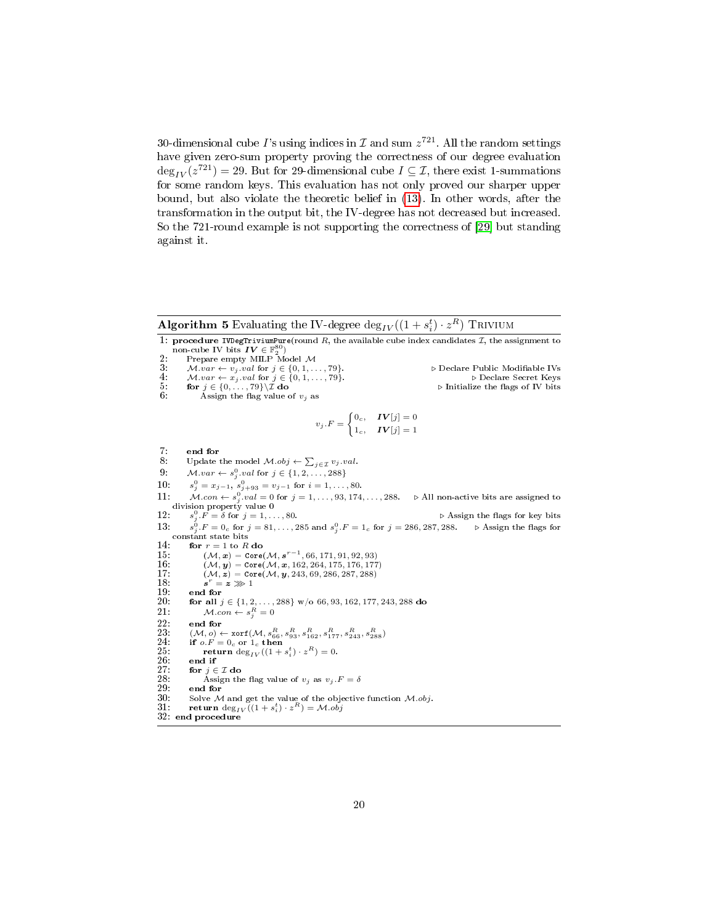30-dimensional cube  $I$ 's using indices in  ${\cal I}$  and sum  $z^{721}.$  All the random settings have given zero-sum property proving the correctness of our degree evaluation  $\deg_{IV}(z^{721}) = 29$ . But for 29-dimensional cube  $I \subseteq \mathcal{I}$ , there exist 1-summations for some random keys. This evaluation has not only proved our sharper upper bound, but also violate the theoretic belief in [\(13\)](#page-13-4). In other words, after the transformation in the output bit, the IV-degree has not decreased but increased. So the 721-round example is not supporting the correctness of [\[29\]](#page-29-9) but standing against it.

<span id="page-19-0"></span>Algorithm 5 Evaluating the IV-degree  $\deg_{IV}((1+s^t_i)\cdot z^R)$  Trivium

1: procedure IVDegTriviumPure(round R, the available cube index candidates  $\mathcal{I}$ , the assignment to non-cube IV bits  $\bm{IV} \in \mathbb{F}_2^{80}$ <br>2: Prepare empty MILP Model M 3:  $M.var \leftarrow v_j.val$  for  $j \in \{0, 1, ..., 79\}$ .<br>
4:  $M.var \leftarrow x_j.val$  for  $j \in \{0, 1, ..., 79\}$ .<br>
5:  $\begin{array}{ll}\n\text{for } j \in \{0, ..., 79\} \setminus \mathbb{Z} \text{ do} \\
\text{6:} & \text{Asign the flag value of } v_j \text{ as}\n\end{array}$  $v_j.F = \begin{cases} 0_c, & IV[j] = 0 \\ 1 & IV[j] = 1 \end{cases}$  $1_c, \quad IV[j] = 1$  $7:$  end for  $8:$  Update 8: Update the model  $\mathcal{M}.obj \leftarrow \sum_{j \in \mathcal{I}} v_j.val.$ 9:  $M-var \leftarrow s_j^0.val$  for  $j \in \{1, 2, ..., 288\}$ 10:  $s_j^0 = x_{j-1}, s_{j+93}^0 = v_{j-1}$  for  $i = 1, ..., 80$ . 11:  $M.con \leftarrow s_j^0.val = 0$  for  $j = 1, ..., 93, 174, ..., 288.$   $\triangleright$  All non-active bits are assigned to division property value 0<br>12:  $s_j^0.F = \delta$  for  $j = 1, ..., 80.$   $\triangleright$  Assign the flags for key bits  $13.$  $^0_j$ .  $F=0_c$  for  $j=81,\ldots,285$  and  $s^0_j$ .  $F=1_c$  for  $j=286,287,288.$   $\quad\Rightarrow$  Assign the flags for constant state bits 14: for  $r = 1$  to R do<br>15:  $(\mathcal{M}, \mathbf{x}) = \text{Core}$ 15:  $(\mathcal{M}, \mathbf{x}) = \text{Core}(\mathcal{M}, \mathbf{s}^{r-1}, 66, 171, 91, 92, 93)$ 16:  $(M, y) = \text{Core}(M, x, 162, 264, 175, 176, 177)$ <br>17:  $(M, z) = \text{Core}(M, y, 243, 69, 286, 287, 288)$  $(\mathcal{M}, \mathbf{z}) = \text{Core}(\mathcal{M}, \mathbf{y}, 243, 69, 286, 287, 288)$  $\frac{18}{19}$ :  $\boldsymbol{s}^r=\boldsymbol{z}\ggg 1$  $\frac{19:}{20:}$  end for  $\frac{19:}{20:}$ 20: for all  $j \in \{1, 2, \ldots, 288\}$  w/o 66, 93, 162, 177, 243, 288 do 21:  $Mcon \leftarrow s_j^R = 0$  $22:$  end for  $23:$   $(\mathcal{M}, o) \leftarrow 24:$  if  $o.F = 25:$  retu  $23: \quad (\mathcal{M}, o) \leftarrow \texttt{xorf}(\mathcal{M}, s_{66}^R, s_{93}^R, s_{162}^R, s_{177}^R, s_{243}^R, s_{288}^R) \ 24: \quad \text{if } o.F = 0_c \text{ or } 1_c \text{ then}$ 25: return  $\deg_{IV}((1 + s_i^t) \cdot z^R) = 0.$ 26: end if<br>27: for  $j \in$ 27: for  $j \in \mathcal{I}$  do<br>28: Assign th 28: Assign the flag value of  $v_j$  as  $v_j$ .  $F = \delta$ <br>29: end for  $29:$  end for  $30:$  Solve  $\mathcal N$ 30: Solve M and get the value of the objective function M.obj.<br>31: return deg<sub>IV</sub>((1+s<sup>t</sup><sub>i</sub>) · z<sup>R</sup>) = M.obj  $31:$  return deg<sub>I</sub><br> $32:$  end procedure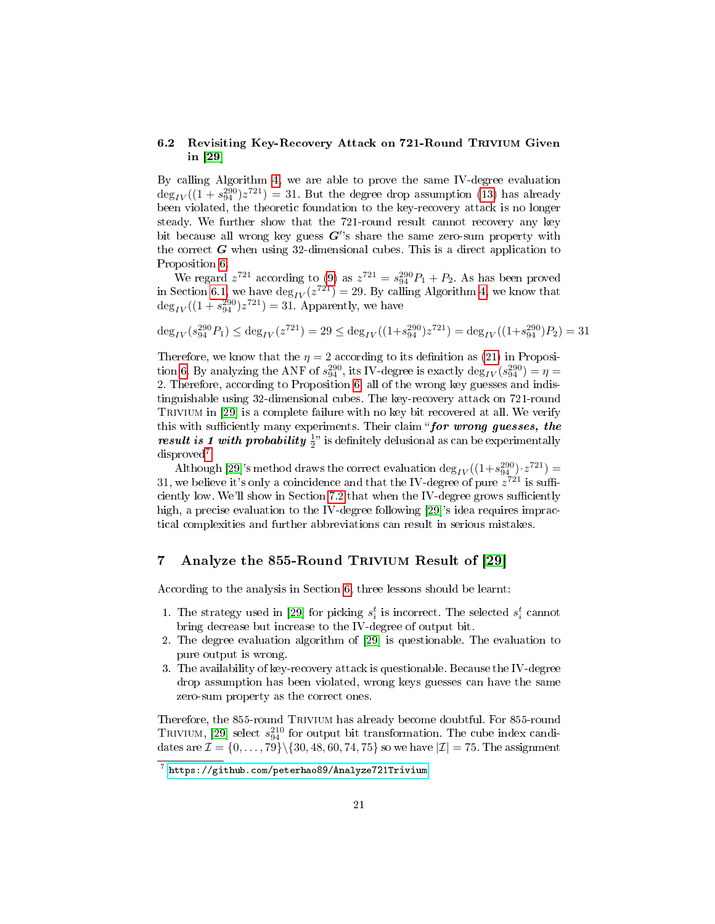# 6.2 Revisiting Key-Recovery Attack on 721-Round Trivium Given in [\[29\]](#page-29-9)

By calling Algorithm [4,](#page-18-0) we are able to prove the same IV-degree evaluation  $\deg_{IV}((1 + s_{94}^{290})z^{721}) = 31$ . But the degree drop assumption [\(13\)](#page-13-4) has already been violated, the theoretic foundation to the key-recovery attack is no longer steady. We further show that the 721-round result cannot recovery any key bit because all wrong key guess  $G$ 's share the same zero-sum property with the correct  $G$  when using 32-dimensional cubes. This is a direct application to Proposition [6.](#page-14-5)

We regard  $z^{721}$  according to [\(9\)](#page-13-2) as  $z^{721} = s_{94}^{290}P_1 + P_2$ . As has been proved in Section [6.1,](#page-18-2) we have  $\deg_{IV}(z^{721}) = 29$ . By calling Algorithm [4,](#page-18-0) we know that  $\deg_{IV}((1 + s_{94}^{290})z^{721}) = 31.$  Apparently, we have

$$
\deg_{IV}(s_{94}^{290}P_1) \le \deg_{IV}(z^{721}) = 29 \le \deg_{IV}((1+s_{94}^{290})z^{721}) = \deg_{IV}((1+s_{94}^{290})P_2) = 31
$$

Therefore, we know that the  $\eta = 2$  according to its definition as [\(21\)](#page-15-4) in Proposi-tion [6.](#page-14-5) By analyzing the ANF of  $s_{94}^{290}$ , its IV-degree is exactly  $\deg_{IV}(s_{94}^{290}) = \eta =$ 2. Therefore, according to Proposition [6,](#page-14-5) all of the wrong key guesses and indistinguishable using 32-dimensional cubes. The key-recovery attack on 721-round Trivium in [\[29\]](#page-29-9) is a complete failure with no key bit recovered at all. We verify this with sufficiently many experiments. Their claim "for wrong guesses, the *result is 1 with probability*  $\frac{1}{2}$ " is definitely delusional as can be experimentally disproved[7](#page-20-1) .

Although [\[29\]](#page-29-9)'s method draws the correct evaluation  $\deg_{IV}((1+s_{94}^{290})\cdot z^{721})=$ 31, we believe it's only a coincidence and that the IV-degree of pure  $z^{721}$  is suffi-ciently low. We'll show in Section [7.2](#page-22-0) that when the IV-degree grows sufficiently high, a precise evaluation to the IV-degree following [\[29\]](#page-29-9)'s idea requires impractical complexities and further abbreviations can result in serious mistakes.

# <span id="page-20-0"></span>7 Analyze the 855-Round Trivium Result of [\[29\]](#page-29-9)

According to the analysis in Section [6,](#page-17-0) three lessons should be learnt:

- 1. The strategy used in [\[29\]](#page-29-9) for picking  $s_i^t$  is incorrect. The selected  $s_i^t$  cannot bring decrease but increase to the IV-degree of output bit.
- 2. The degree evaluation algorithm of [\[29\]](#page-29-9) is questionable. The evaluation to pure output is wrong.
- 3. The availability of key-recovery attack is questionable. Because the IV-degree drop assumption has been violated, wrong keys guesses can have the same zero-sum property as the correct ones.

Therefore, the 855-round TRIVIUM has already become doubtful. For 855-round TRIVIUM, [\[29\]](#page-29-9) select  $s_{94}^{210}$  for output bit transformation. The cube index candidates are  $\mathcal{I} = \{0,\ldots,79\} \backslash \{30,48,60,74,75\}$  so we have  $|\mathcal{I}| = 75$ . The assignment

<span id="page-20-1"></span> $\frac{7}{7}$  <https://github.com/peterhao89/Analyze721Trivium>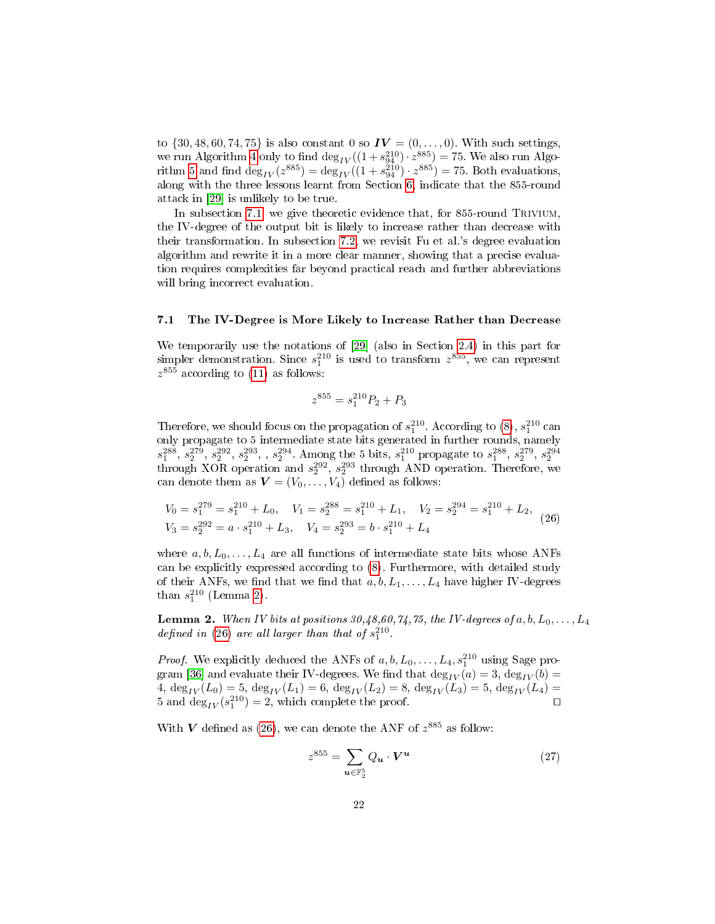to  $\{30, 48, 60, 74, 75\}$  is also constant 0 so  $IV = (0, ..., 0)$ . With such settings, we run Algorithm [4](#page-18-0) only to find  $\deg_{IV}((1 + s_{94}^{210}) \cdot z^{885}) = 75$ . We also run Algo-rithm [5](#page-19-0) and find  $\deg_{IV}(z^{885}) = \deg_{IV}((1 + s_{94}^{210}) \cdot z^{885}) = 75$ . Both evaluations, along with the three lessons learnt from Section [6,](#page-17-0) indicate that the 855-round attack in [\[29\]](#page-29-9) is unlikely to be true.

In subsection [7.1,](#page-21-0) we give theoretic evidence that, for 855-round TRIVIUM, the IV-degree of the output bit is likely to increase rather than decrease with their transformation. In subsection [7.2,](#page-22-0) we revisit Fu et al.'s degree evaluation algorithm and rewrite it in a more clear manner, showing that a precise evaluation requires complexities far beyond practical reach and further abbreviations will bring incorrect evaluation.

### <span id="page-21-0"></span>7.1 The IV-Degree is More Likely to Increase Rather than Decrease

We temporarily use the notations of [\[29\]](#page-29-9) (also in Section [2.4\)](#page-11-1) in this part for simpler demonstration. Since  $s_1^{210}$  is used to transform  $z^{855}$ , we can represent  $z^{855}$  according to [\(11\)](#page-13-5) as follows:

$$
z^{855}=s_1^{210}P_2+P_3\\
$$

Therefore, we should focus on the propagation of  $s_1^{210}$ . According to [\(8\)](#page-12-2),  $s_1^{210}$  can only propagate to 5 intermediate state bits generated in further rounds, namely  $s_1^{288}, s_2^{279}, s_2^{292}, s_2^{293}, s_2^{294}$ . Among the 5 bits,  $s_1^{210}$  propagate to  $s_1^{288}, s_2^{279}, s_2^{294}$ <br>through XOR operation and  $s_2^{292}, s_2^{293}$  through AND operation. Therefore, we can denote them as  $\boldsymbol{V} = (V_0, \dots, V_4)$  defined as follows:

<span id="page-21-2"></span>
$$
V_0 = s_1^{279} = s_1^{210} + L_0, \quad V_1 = s_2^{288} = s_1^{210} + L_1, \quad V_2 = s_2^{294} = s_1^{210} + L_2, V_3 = s_2^{292} = a \cdot s_1^{210} + L_3, \quad V_4 = s_2^{293} = b \cdot s_1^{210} + L_4
$$
 (26)

where  $a, b, L_0, \ldots, L_4$  are all functions of intermediate state bits whose ANFs can be explicitly expressed according to [\(8\)](#page-12-2). Furthermore, with detailed study of their ANFs, we find that we find that  $a, b, L_1, \ldots, L_4$  have higher IV-degrees than  $s_1^{210}$  (Lemma [2\)](#page-21-1).

<span id="page-21-1"></span>**Lemma 2.** When IV bits at positions  $30,48,60,74,75$ , the IV-degrees of a, b,  $L_0, \ldots, L_4$ defined in [\(26\)](#page-21-2) are all larger than that of  $s_1^{210}$ .

*Proof.* We explicitly deduced the ANFs of  $a, b, L_0, \ldots, L_4, s_1^{210}$  using Sage pro-gram [\[36\]](#page-30-0) and evaluate their IV-degrees. We find that  $\deg_{IV}(a) = 3$ ,  $\deg_{IV}(b) =$ 4,  $\deg_{IV}(L_0) = 5$ ,  $\deg_{IV}(L_1) = 6$ ,  $\deg_{IV}(L_2) = 8$ ,  $\deg_{IV}(L_3) = 5$ ,  $\deg_{IV}(L_4) =$ 5 and  $\deg_{IV}(s_1^{210}) = 2$ , which complete the proof.

With V defined as [\(26\)](#page-21-2), we can denote the ANF of  $z^{885}$  as follow:

$$
z^{855} = \sum_{\mathbf{u} \in \mathbb{F}_2^5} Q_{\mathbf{u}} \cdot \mathbf{V}^{\mathbf{u}} \tag{27}
$$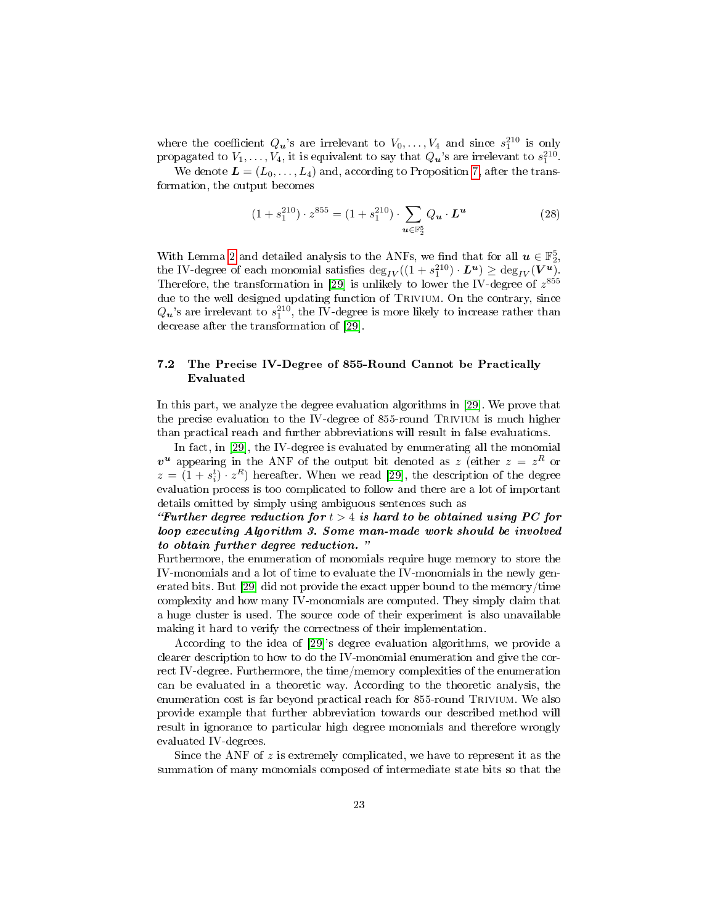where the coefficient  $Q_{\boldsymbol{u}}$ 's are irrelevant to  $V_0, \ldots, V_4$  and since  $s_1^{210}$  is only propagated to  $V_1, \ldots, V_4$ , it is equivalent to say that  $Q_{\boldsymbol{u}}$ 's are irrelevant to  $s_1^{210}$ .

We denote  $\mathbf{L} = (L_0, \ldots, L_4)$  and, according to Proposition [7,](#page-15-2) after the transformation, the output becomes

$$
(1 + s_1^{210}) \cdot z^{855} = (1 + s_1^{210}) \cdot \sum_{u \in \mathbb{F}_2^5} Q_u \cdot L^u \tag{28}
$$

With Lemma [2](#page-21-1) and detailed analysis to the ANFs, we find that for all  $u \in \mathbb{F}_2^5$ , the IV-degree of each monomial satisfies  $\deg_{IV}((1 + s_1^{210}) \cdot L^u) \ge \deg_{IV}(V^u)$ . Therefore, the transformation in [\[29\]](#page-29-9) is unlikely to lower the IV-degree of  $z^{855}$ due to the well designed updating function of Trivium. On the contrary, since  $Q_{\boldsymbol{u}}$ 's are irrelevant to  $s_1^{210},$  the IV-degree is more likely to increase rather than decrease after the transformation of [\[29\]](#page-29-9).

# <span id="page-22-0"></span>7.2 The Precise IV-Degree of 855-Round Cannot be Practically Evaluated

In this part, we analyze the degree evaluation algorithms in [\[29\]](#page-29-9). We prove that the precise evaluation to the IV-degree of 855-round Trivium is much higher than practical reach and further abbreviations will result in false evaluations.

In fact, in [\[29\]](#page-29-9), the IV-degree is evaluated by enumerating all the monomial  $v^u$  appearing in the ANF of the output bit denoted as z (either  $z = z^R$  or  $z = (1 + s_i^t) \cdot z^R$  hereafter. When we read [\[29\]](#page-29-9), the description of the degree evaluation process is too complicated to follow and there are a lot of important details omitted by simply using ambiguous sentences such as

"Further degree reduction for  $t > 4$  is hard to be obtained using PC for loop executing Algorithm 3. Some man-made work should be involved to obtain further degree reduction.

Furthermore, the enumeration of monomials require huge memory to store the IV-monomials and a lot of time to evaluate the IV-monomials in the newly generated bits. But [\[29\]](#page-29-9) did not provide the exact upper bound to the memory/time complexity and how many IV-monomials are computed. They simply claim that a huge cluster is used. The source code of their experiment is also unavailable making it hard to verify the correctness of their implementation.

According to the idea of [\[29\]](#page-29-9)'s degree evaluation algorithms, we provide a clearer description to how to do the IV-monomial enumeration and give the correct IV-degree. Furthermore, the time/memory complexities of the enumeration can be evaluated in a theoretic way. According to the theoretic analysis, the enumeration cost is far beyond practical reach for 855-round TRIVIUM. We also provide example that further abbreviation towards our described method will result in ignorance to particular high degree monomials and therefore wrongly evaluated IV-degrees.

Since the ANF of  $z$  is extremely complicated, we have to represent it as the summation of many monomials composed of intermediate state bits so that the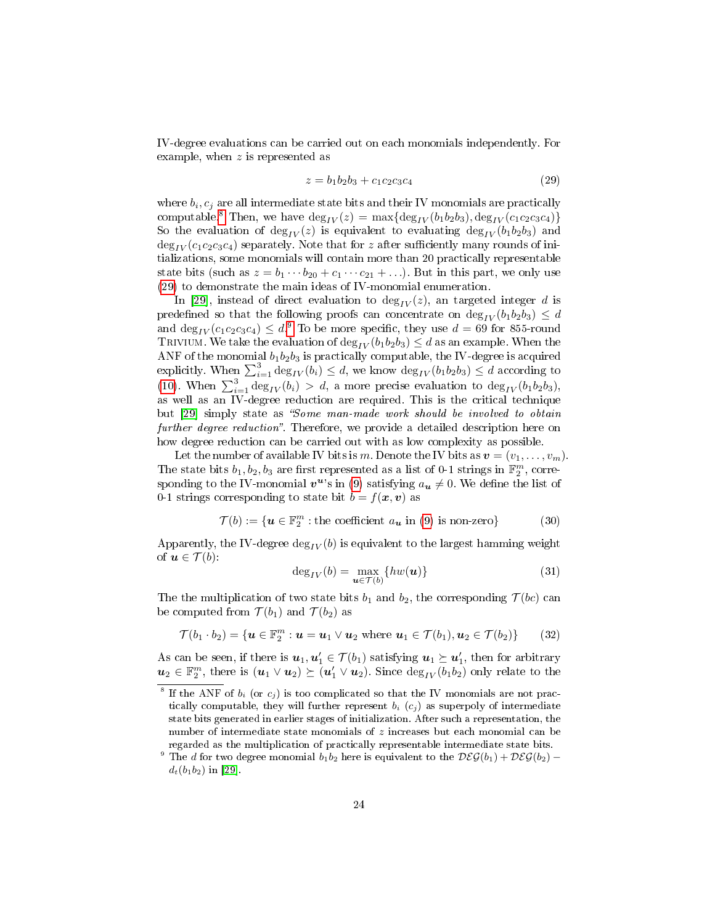IV-degree evaluations can be carried out on each monomials independently. For example, when z is represented as

<span id="page-23-1"></span>
$$
z = b_1 b_2 b_3 + c_1 c_2 c_3 c_4 \tag{29}
$$

where  $b_i, c_j$  are all intermediate state bits and their IV monomials are practically computable.<sup>[8](#page-23-0)</sup> Then, we have  $\deg_{IV}(z) = \max\{\deg_{IV}(b_1b_2b_3), \deg_{IV}(c_1c_2c_3c_4)\}\$ So the evaluation of  $\deg_{IV}(z)$  is equivalent to evaluating  $\deg_{IV}(b_1b_2b_3)$  and  $\deg_{IV}(c_1c_2c_3c_4)$  separately. Note that for z after sufficiently many rounds of initializations, some monomials will contain more than 20 practically representable state bits (such as  $z = b_1 \cdots b_{20} + c_1 \cdots c_{21} + \ldots$ ). But in this part, we only use [\(29\)](#page-23-1) to demonstrate the main ideas of IV-monomial enumeration.

In [\[29\]](#page-29-9), instead of direct evaluation to  $deg_{IV}(z)$ , an targeted integer d is predefined so that the following proofs can concentrate on  $\deg_{IV}(b_1b_2b_3) \leq d$ and  $\deg_{IV}(c_1c_2c_3c_4) \leq d^{.9}$  $\deg_{IV}(c_1c_2c_3c_4) \leq d^{.9}$  $\deg_{IV}(c_1c_2c_3c_4) \leq d^{.9}$  To be more specific, they use  $d = 69$  for 855-round TRIVIUM. We take the evaluation of  $\deg_{IV} (b_1b_2b_3) \leq d$  as an example. When the ANF of the monomial  $b_1b_2b_3$  is practically computable, the IV-degree is acquired explicitly. When  $\sum_{i=1}^{3} \deg_{IV}(b_i) \leq d$ , we know  $\deg_{IV}(b_1b_2b_3) \leq d$  according to [\(10\)](#page-13-7). When  $\sum_{i=1}^{3} \deg_{IV}(b_i) > d$ , a more precise evaluation to  $\deg_{IV}(b_1b_2b_3)$ , as well as an IV-degree reduction are required. This is the critical technique but [\[29\]](#page-29-9) simply state as "Some man-made work should be involved to obtain further degree reduction". Therefore, we provide a detailed description here on how degree reduction can be carried out with as low complexity as possible.

Let the number of available IV bits is m. Denote the IV bits as  $\mathbf{v} = (v_1, \ldots, v_m)$ . The state bits  $b_1, b_2, b_3$  are first represented as a list of 0-1 strings in  $\mathbb{F}_2^m$ , corresponding to the IV-monomial  $\boldsymbol{v}^{\boldsymbol{u}\prime}$ s in [\(9\)](#page-13-2) satisfying  $a_{\boldsymbol{u}}\neq 0$ . We define the list of 0-1 strings corresponding to state bit  $b = f(x, v)$  as

<span id="page-23-3"></span>
$$
\mathcal{T}(b) := \{ \mathbf{u} \in \mathbb{F}_2^m : \text{the coefficient } a_{\mathbf{u}} \text{ in (9) is non-zero} \} \tag{30}
$$

Apparently, the IV-degree  $\deg_{IV}(b)$  is equivalent to the largest hamming weight of  $u \in \mathcal{T}(b)$ :

$$
\deg_{IV}(b) = \max_{\mathbf{u} \in \mathcal{T}(b)} \{hw(\mathbf{u})\}
$$
\n(31)

The the multiplication of two state bits  $b_1$  and  $b_2$ , the corresponding  $\mathcal{T}(bc)$  can be computed from  $\mathcal{T}(b_1)$  and  $\mathcal{T}(b_2)$  as

$$
\mathcal{T}(b_1 \cdot b_2) = \{ \boldsymbol{u} \in \mathbb{F}_2^m : \boldsymbol{u} = \boldsymbol{u}_1 \vee \boldsymbol{u}_2 \text{ where } \boldsymbol{u}_1 \in \mathcal{T}(b_1), \boldsymbol{u}_2 \in \mathcal{T}(b_2) \} \qquad (32)
$$

As can be seen, if there is  $\bm{u}_1,\bm{u}'_1\in\mathcal{T}(b_1)$  satisfying  $\bm{u}_1\succeq\bm{u}'_1,$  then for arbitrary  $u_2 \in \mathbb{F}_2^m$ , there is  $(u_1 \vee u_2) \succeq (u'_1 \vee u_2)$ . Since  $\text{deg}_{IV}(b_1b_2)$  only relate to the

<span id="page-23-0"></span><sup>&</sup>lt;sup>8</sup> If the ANF of  $b_i$  (or  $c_j$ ) is too complicated so that the IV monomials are not practically computable, they will further represent  $b_i$  ( $c_j$ ) as superpoly of intermediate state bits generated in earlier stages of initialization. After such a representation, the number of intermediate state monomials of z increases but each monomial can be regarded as the multiplication of practically representable intermediate state bits.

<span id="page-23-2"></span>The d for two degree monomial  $b_1b_2$  here is equivalent to the  $DEG(b_1) + DEG(b_2)$  $d_t(b_1b_2)$  in [\[29\]](#page-29-9).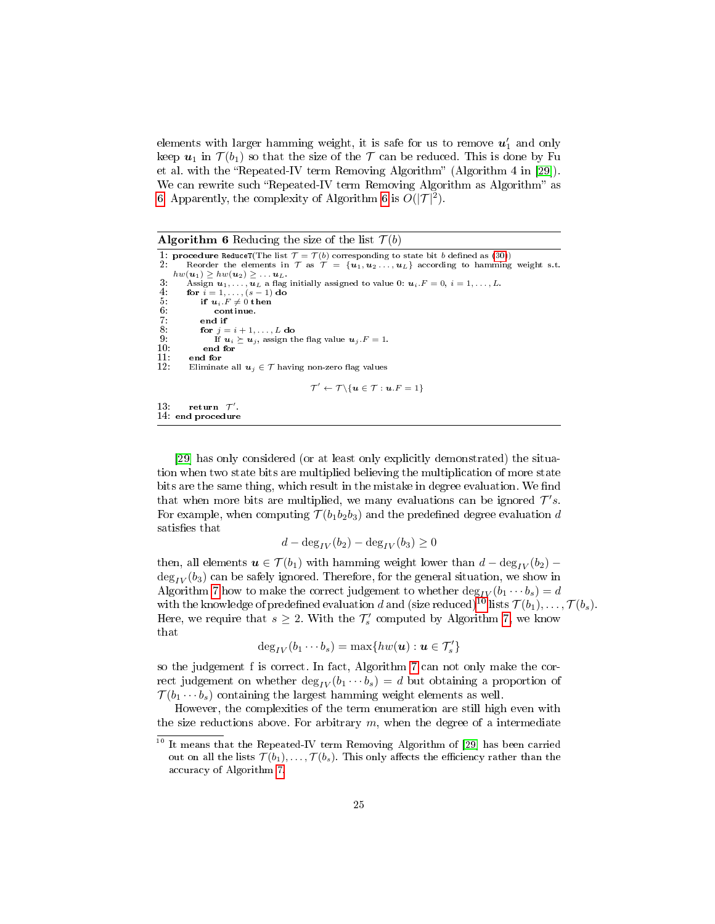elements with larger hamming weight, it is safe for us to remove  $\boldsymbol{u}'_1$  and only keep  $u_1$  in  $\mathcal{T}(b_1)$  so that the size of the  $\mathcal T$  can be reduced. This is done by Fu et al. with the "Repeated-IV term Removing Algorithm" (Algorithm 4 in [\[29\]](#page-29-9)). We can rewrite such "Repeated-IV term Removing Algorithm as Algorithm" as [6.](#page-24-0) Apparently, the complexity of Algorithm [6](#page-24-0) is  $O(|\mathcal{T}|^2)$ .

<span id="page-24-0"></span>**Algorithm 6** Reducing the size of the list  $\mathcal{T}(b)$ 

```
1: procedure ReduceT(The list \mathcal{T} = \mathcal{T}(b)(30)) 2: Reorder the elements in \mathcal{T} as \mathcal{T} = \{u_1, u_2, \ldots, u_L\} according to hamming
           Reorder the elements in \mathcal{T} as \mathcal{T} = \{u_1, u_2, \ldots, u_L\} according to hamming weight s.t.
      hw(\mathbf{u}_1) \geq hw(\mathbf{u}_2) \geq \ldots \mathbf{u}_L.
 3: Assign u_1, \ldots, u_L a flag initially assigned to value 0: u_i.F = 0, i = 1, \ldots, L.<br>4: for i = 1, \ldots, (s - 1) do
 4: for i = 1, ..., (s - 1) do<br>5: if u_i.F \neq 0 then
 5: if u_i.F \neq 0 tl<br>6: continue.<br>7: end if
 7: end if<br>8: for j=8: for j = i + 1, ..., L do<br>9: If u_i \succ u_i assign t
9: If u_i \succeq u_j, assign the flag value u_j.F = 1.<br>10: end for
10: end for<br>11: end for
11: end for<br>12: Eliminat
            Eliminate all u_j \in \mathcal{T} having non-zero flag values
                                                              \mathcal{T}' \leftarrow \mathcal{T} \setminus \{ \boldsymbol{u} \in \mathcal{T} : \boldsymbol{u}.F = 1 \}13: return \mathcal{T}'.
14: end procedure
```
[\[29\]](#page-29-9) has only considered (or at least only explicitly demonstrated) the situation when two state bits are multiplied believing the multiplication of more state bits are the same thing, which result in the mistake in degree evaluation. We find that when more bits are multiplied, we many evaluations can be ignored  $\mathcal{T}'s$ . For example, when computing  $\mathcal{T}(b_1b_2b_3)$  and the predefined degree evaluation d satisfies that

$$
d - \deg_{IV}(b_2) - \deg_{IV}(b_3) \ge 0
$$

then, all elements  $u \in \mathcal{T}(b_1)$  with hamming weight lower than  $d - \deg_{IV}(b_2)$  –  $\deg_{IV}(b_3)$  can be safely ignored. Therefore, for the general situation, we show in Algorithm [7](#page-25-0) how to make the correct judgement to whether  $\deg_{IV} (b_1 \cdots b_s) = d$ with the knowledge of predefined evaluation d and (size reduced)<sup>[10](#page-24-1)</sup> lists  $\mathcal{T}(b_1), \ldots, \mathcal{T}(b_s)$ . Here, we require that  $s \geq 2$ . With the  $\mathcal{T}'_s$  computed by Algorithm [7,](#page-25-0) we know that

$$
\deg_{IV}(b_1\cdots b_s)=\max\{hw(\boldsymbol u):\boldsymbol u\in \mathcal T'_s\}
$$

so the judgement f is correct. In fact, Algorithm [7](#page-25-0) can not only make the correct judgement on whether  $\deg_{IV} (b_1 \cdots b_s) = d$  but obtaining a proportion of  $\mathcal{T}(b_1 \cdots b_s)$  containing the largest hamming weight elements as well.

However, the complexities of the term enumeration are still high even with the size reductions above. For arbitrary  $m$ , when the degree of a intermediate

<span id="page-24-1"></span><sup>10</sup> It means that the Repeated-IV term Removing Algorithm of [\[29\]](#page-29-9) has been carried out on all the lists  $\mathcal{T}(b_1), \ldots, \mathcal{T}(b_s)$ . This only affects the efficiency rather than the accuracy of Algorithm [7.](#page-25-0)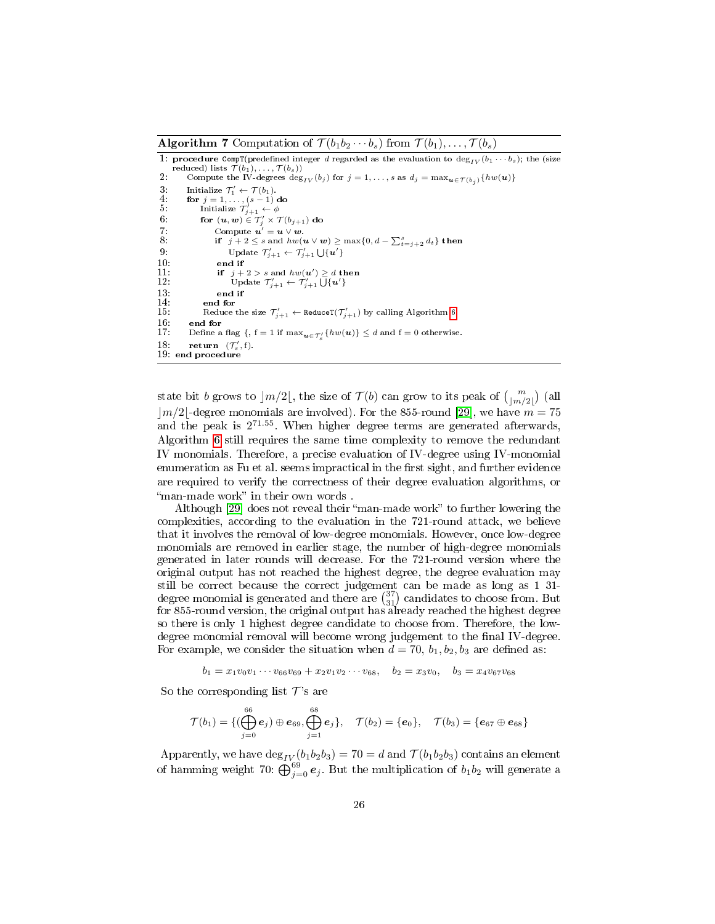<span id="page-25-0"></span>**Algorithm 7** Computation of  $\mathcal{T}(b_1b_2\cdots b_s)$  from  $\mathcal{T}(b_1), \ldots, \mathcal{T}(b_s)$ 

1: procedure CompT(predefined integer d regarded as the evaluation to  $\deg_{IV}(b_1 \cdots b_s)$ ; the (size reduced) lists  $\mathcal{T}(b_1), \ldots, \mathcal{T}(b_s)$ <br>2: Compute the IV-degrees  $\deg_{IV}(b_j)$  for  $j = 1, \ldots, s$  as  $d_j = \max_{\bm{u} \in \mathcal{T}(b_j)} \{ hw(\bm{u})\}$ 3: Initialize  $\mathcal{T}'_1 \leftarrow \mathcal{T}(b_1)$ .<br>4: **for**  $j = 1, ..., (s-1)$  **do**<br>5: Initialize  $\mathcal{T}'_{j+1} \leftarrow \phi$ 6: for  $(\boldsymbol{u},\boldsymbol{w})\in \mathcal{T}'_j\times \mathcal{T}(b_{j+1})$  do 7: Compute  $\mathbf{u}' = \mathbf{u} \vee \mathbf{w}$ . 8: if  $j + 2 \leq s$  and  $hw(u \vee w) \geq \max\{0, d - \sum_{t=j+2}^{s} d_t\}$  then<br>0 9: Update  $\mathcal{T}'_{j+1} \leftarrow \mathcal{T}'_{j+1} \bigcup \{\boldsymbol{u}'\}$ 10: end if<br>
11: if  $j + 2 > s$  and  $hw(u') \ge d$  then<br>
12: Update  $T'_{j+1} \leftarrow T'_{j+1} \cup \{u'\}$  $13:$  end if  $14:$  end for 14: **end for**<br>15: **Reduce** 15: Reduce the size  $\mathcal{T}'_{j+1} \leftarrow \texttt{ReduceT}(\mathcal{T}'_{j+1})$  by calling Algorithm [6.](#page-24-0) 16: **end for**<br>17: Define a 17: Define a flag  $\{ , f = 1 \text{ if } \max_{\boldsymbol{u} \in \mathcal{T}'_s} \{ hw(\boldsymbol{u}) \} \le d \text{ and } f = 0 \text{ otherwise. }$ 18: return  $(\mathcal{T}'_s, f)$ . 19: end procedure

state bit  $b$  grows to  $\lfloor m/2 \rfloor$ , the size of  $\mathcal{T} (b)$  can grow to its peak of  ${m \choose \lfloor m/2 \rfloor}$  (all  $|m/2|$ -degree monomials are involved). For the 855-round [\[29\]](#page-29-9), we have  $m = 75$ and the peak is  $2^{71.55}$ . When higher degree terms are generated afterwards, Algorithm [6](#page-24-0) still requires the same time complexity to remove the redundant IV monomials. Therefore, a precise evaluation of IV-degree using IV-monomial enumeration as Fu et al. seems impractical in the first sight, and further evidence are required to verify the correctness of their degree evaluation algorithms, or "man-made work" in their own words.

Although [\[29\]](#page-29-9) does not reveal their "man-made work" to further lowering the complexities, according to the evaluation in the 721-round attack, we believe that it involves the removal of low-degree monomials. However, once low-degree monomials are removed in earlier stage, the number of high-degree monomials generated in later rounds will decrease. For the 721-round version where the original output has not reached the highest degree, the degree evaluation may still be correct because the correct judgement can be made as long as 1 31 degree monomial is generated and there are  $\binom{37}{31}$  candidates to choose from. But for 855-round version, the original output has already reached the highest degree so there is only 1 highest degree candidate to choose from. Therefore, the lowdegree monomial removal will become wrong judgement to the final IV-degree. For example, we consider the situation when  $d = 70$ ,  $b_1$ ,  $b_2$ ,  $b_3$  are defined as:

 $b_1 = x_1v_0v_1\cdots v_{66}v_{69} + x_2v_1v_2\cdots v_{68}, \quad b_2 = x_3v_0, \quad b_3 = x_4v_{67}v_{68}$ 

So the corresponding list  $\mathcal{T}'$ 's are

$$
\mathcal{T}(b_1)=\{(\bigoplus_{j=0}^{66} \boldsymbol{e}_j) \oplus \boldsymbol{e}_{69}, \bigoplus_{j=1}^{68} \boldsymbol{e}_j\}, \quad \mathcal{T}(b_2)=\{ \boldsymbol{e}_0\}, \quad \mathcal{T}(b_3)=\{ \boldsymbol{e}_{67} \oplus \boldsymbol{e}_{68}\}
$$

Apparently, we have  $\deg_{IV}(b_1b_2b_3) = 70 = d$  and  $\mathcal{T}(b_1b_2b_3)$  contains an element of hamming weight 70:  $\dot{\bigoplus}_{j=0}^{69} e_j$ . But the multiplication of  $b_1b_2$  will generate a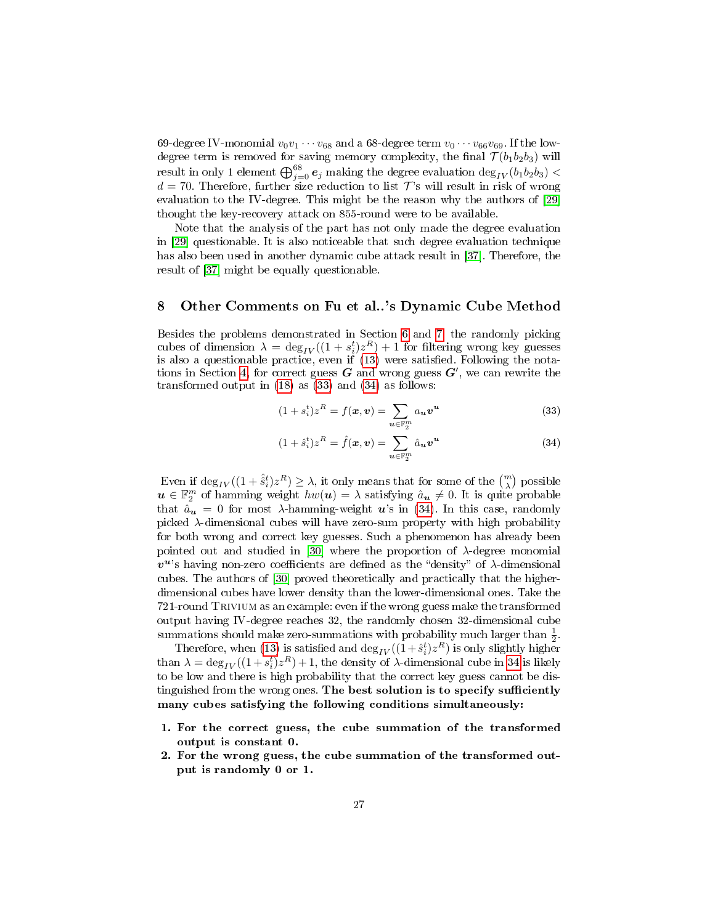69-degree IV-monomial  $v_0v_1\cdots v_{68}$  and a 68-degree term  $v_0\cdots v_{66}v_{69}$ . If the lowdegree term is removed for saving memory complexity, the final  $\mathcal{T}(b_1b_2b_3)$  will result in only 1 element  $\bigoplus_{j=0}^{68} e_j$  making the degree evaluation  $\deg_{IV}(b_1b_2b_3) <$  $d = 70$ . Therefore, further size reduction to list  $\mathcal{T}$ 's will result in risk of wrong evaluation to the IV-degree. This might be the reason why the authors of [\[29\]](#page-29-9) thought the key-recovery attack on 855-round were to be available.

Note that the analysis of the part has not only made the degree evaluation in [\[29\]](#page-29-9) questionable. It is also noticeable that such degree evaluation technique has also been used in another dynamic cube attack result in [\[37\]](#page-30-1). Therefore, the result of [\[37\]](#page-30-1) might be equally questionable.

## <span id="page-26-0"></span>8 Other Comments on Fu et al..'s Dynamic Cube Method

Besides the problems demonstrated in Section [6](#page-17-0) and [7,](#page-20-0) the randomly picking cubes of dimension  $\lambda = \deg_{IV}((1 + s_i^t)z^R) + 1$  for filtering wrong key guesses is also a questionable practice, even if  $(13)$  were satisfied. Following the nota-tions in Section [4,](#page-13-1) for correct guess  $G$  and wrong guess  $G'$ , we can rewrite the transformed output in  $(18)$  as  $(33)$  and  $(34)$  as follows:

<span id="page-26-1"></span>
$$
(1+s_i^t)z^R = f(\boldsymbol{x}, \boldsymbol{v}) = \sum_{\boldsymbol{u} \in \mathbb{F}_2^m} a_{\boldsymbol{u}} \boldsymbol{v}^{\boldsymbol{u}}
$$
(33)

$$
(1 + \hat{s}_i^t) z^R = \hat{f}(\boldsymbol{x}, \boldsymbol{v}) = \sum_{\boldsymbol{u} \in \mathbb{F}_2^m} \hat{a}_{\boldsymbol{u}} \boldsymbol{v}^{\boldsymbol{u}} \tag{34}
$$

Even if  $\deg_{IV}((1 + \hat{\hat{s}}_i^t)z^R) \ge \lambda$ , it only means that for some of the  $\binom{m}{\lambda}$  possible  $u \in \mathbb{F}_2^m$  of hamming weight  $hw(u) = \lambda$  satisfying  $\hat{a}_{\boldsymbol{u}} \neq 0$ . It is quite probable that  $\hat{a}_{u} = 0$  for most  $\lambda$ -hamming-weight  $u$ 's in [\(34\)](#page-26-1). In this case, randomly picked λ-dimensional cubes will have zero-sum property with high probability for both wrong and correct key guesses. Such a phenomenon has already been pointed out and studied in [\[30\]](#page-29-10) where the proportion of  $\lambda$ -degree monomial  $v^u$ 's having non-zero coefficients are defined as the "density" of  $\lambda$ -dimensional cubes. The authors of [\[30\]](#page-29-10) proved theoretically and practically that the higherdimensional cubes have lower density than the lower-dimensional ones. Take the 721-round Trivium as an example: even if the wrong guess make the transformed output having IV-degree reaches 32, the randomly chosen 32-dimensional cube summations should make zero-summations with probability much larger than  $\frac{1}{2}$ .

Therefore, when [\(13\)](#page-13-4) is satisfied and  $\deg_{IV}((1+\hat{s}_i^t)z^R)$  is only slightly higher than  $\lambda = \deg_{IV}((1 + s_i^t)z^R) + 1$ , the density of  $\lambda$ -dimensional cube in [34](#page-26-1) is likely to be low and there is high probability that the correct key guess cannot be distinguished from the wrong ones. The best solution is to specify sufficiently many cubes satisfying the following conditions simultaneously:

- 1. For the correct guess, the cube summation of the transformed output is constant 0.
- 2. For the wrong guess, the cube summation of the transformed output is randomly 0 or 1.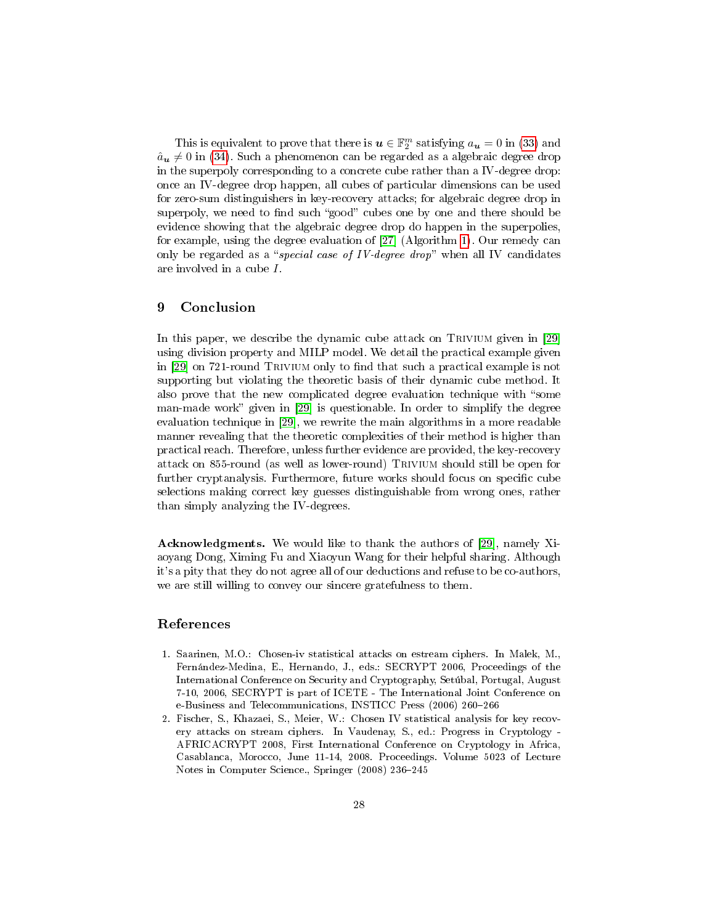This is equivalent to prove that there is  $\boldsymbol{u} \in \mathbb{F}_2^m$  satisfying  $a_{\boldsymbol{u}} = 0$  in [\(33\)](#page-26-1) and  $\hat{a}_{u} \neq 0$  in [\(34\)](#page-26-1). Such a phenomenon can be regarded as a algebraic degree drop in the superpoly corresponding to a concrete cube rather than a IV-degree drop: once an IV-degree drop happen, all cubes of particular dimensions can be used for zero-sum distinguishers in key-recovery attacks; for algebraic degree drop in superpoly, we need to find such "good" cubes one by one and there should be evidence showing that the algebraic degree drop do happen in the superpolies, for example, using the degree evaluation of [\[27\]](#page-29-7) (Algorithm [1\)](#page-11-0). Our remedy can only be regarded as a "special case of IV-degree drop" when all IV candidates are involved in a cube I.

# <span id="page-27-2"></span>9 Conclusion

In this paper, we describe the dynamic cube attack on TRIVIUM given in [\[29\]](#page-29-9) using division property and MILP model. We detail the practical example given in [\[29\]](#page-29-9) on 721-round TRIVIUM only to find that such a practical example is not supporting but violating the theoretic basis of their dynamic cube method. It also prove that the new complicated degree evaluation technique with "some man-made work" given in [\[29\]](#page-29-9) is questionable. In order to simplify the degree evaluation technique in [\[29\]](#page-29-9), we rewrite the main algorithms in a more readable manner revealing that the theoretic complexities of their method is higher than practical reach. Therefore, unless further evidence are provided, the key-recovery attack on 855-round (as well as lower-round) Trivium should still be open for further cryptanalysis. Furthermore, future works should focus on specific cube selections making correct key guesses distinguishable from wrong ones, rather than simply analyzing the IV-degrees.

Acknowledgments. We would like to thank the authors of [\[29\]](#page-29-9), namely Xiaoyang Dong, Ximing Fu and Xiaoyun Wang for their helpful sharing. Although it's a pity that they do not agree all of our deductions and refuse to be co-authors, we are still willing to convey our sincere gratefulness to them.

# References

- <span id="page-27-0"></span>1. Saarinen, M.O.: Chosen-iv statistical attacks on estream ciphers. In Malek, M., Fernández-Medina, E., Hernando, J., eds.: SECRYPT 2006, Proceedings of the International Conference on Security and Cryptography, Setúbal, Portugal, August 7-10, 2006, SECRYPT is part of ICETE - The International Joint Conference on e-Business and Telecommunications, INSTICC Press (2006) 260-266
- <span id="page-27-1"></span>2. Fischer, S., Khazaei, S., Meier, W.: Chosen IV statistical analysis for key recovery attacks on stream ciphers. In Vaudenay, S., ed.: Progress in Cryptology - AFRICACRYPT 2008, First International Conference on Cryptology in Africa, Casablanca, Morocco, June 11-14, 2008. Proceedings. Volume 5023 of Lecture Notes in Computer Science., Springer (2008) 236-245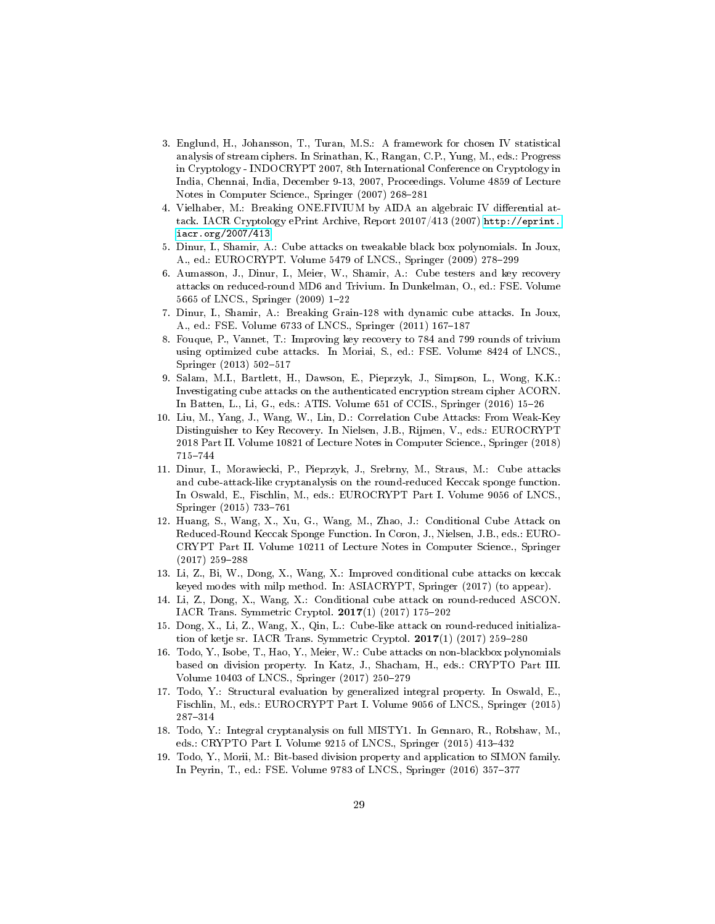- <span id="page-28-0"></span>3. Englund, H., Johansson, T., Turan, M.S.: A framework for chosen IV statistical analysis of stream ciphers. In Srinathan, K., Rangan, C.P., Yung, M., eds.: Progress in Cryptology - INDOCRYPT 2007, 8th International Conference on Cryptology in India, Chennai, India, December 9-13, 2007, Proceedings. Volume 4859 of Lecture Notes in Computer Science., Springer (2007) 268-281
- <span id="page-28-1"></span>4. Vielhaber, M.: Breaking ONE.FIVIUM by AIDA an algebraic IV differential attack. IACR Cryptology ePrint Archive, Report 20107/413 (2007) [http://eprint.](http://eprint.iacr.org/2007/413) [iacr.org/2007/413.](http://eprint.iacr.org/2007/413)
- <span id="page-28-2"></span>5. Dinur, I., Shamir, A.: Cube attacks on tweakable black box polynomials. In Joux, A., ed.: EUROCRYPT. Volume 5479 of LNCS., Springer (2009) 278-299
- <span id="page-28-3"></span>6. Aumasson, J., Dinur, I., Meier, W., Shamir, A.: Cube testers and key recovery attacks on reduced-round MD6 and Trivium. In Dunkelman, O., ed.: FSE. Volume 5665 of LNCS., Springer (2009) 1-22
- <span id="page-28-4"></span>7. Dinur, I., Shamir, A.: Breaking Grain-128 with dynamic cube attacks. In Joux, A., ed.: FSE. Volume 6733 of LNCS., Springer (2011) 167-187
- <span id="page-28-5"></span>8. Fouque, P., Vannet, T.: Improving key recovery to 784 and 799 rounds of trivium using optimized cube attacks. In Moriai, S., ed.: FSE. Volume 8424 of LNCS., Springer (2013) 502-517
- <span id="page-28-6"></span>9. Salam, M.I., Bartlett, H., Dawson, E., Pieprzyk, J., Simpson, L., Wong, K.K.: Investigating cube attacks on the authenticated encryption stream cipher ACORN. In Batten, L., Li, G., eds.: ATIS. Volume 651 of CCIS., Springer (2016) 15-26
- <span id="page-28-7"></span>10. Liu, M., Yang, J., Wang, W., Lin, D.: Correlation Cube Attacks: From Weak-Key Distinguisher to Key Recovery. In Nielsen, J.B., Rijmen, V., eds.: EUROCRYPT 2018 Part II. Volume 10821 of Lecture Notes in Computer Science., Springer (2018) 715-744
- <span id="page-28-8"></span>11. Dinur, I., Morawiecki, P., Pieprzyk, J., Srebrny, M., Straus, M.: Cube attacks and cube-attack-like cryptanalysis on the round-reduced Keccak sponge function. In Oswald, E., Fischlin, M., eds.: EUROCRYPT Part I. Volume 9056 of LNCS., Springer (2015) 733-761
- <span id="page-28-9"></span>12. Huang, S., Wang, X., Xu, G., Wang, M., Zhao, J.: Conditional Cube Attack on Reduced-Round Keccak Sponge Function. In Coron, J., Nielsen, J.B., eds.: EURO-CRYPT Part II. Volume 10211 of Lecture Notes in Computer Science., Springer  $(2017)$  259-288
- <span id="page-28-10"></span>13. Li, Z., Bi, W., Dong, X., Wang, X.: Improved conditional cube attacks on keccak keyed modes with milp method. In: ASIACRYPT, Springer (2017) (to appear).
- <span id="page-28-11"></span>14. Li, Z., Dong, X., Wang, X.: Conditional cube attack on round-reduced ASCON. IACR Trans. Symmetric Cryptol.  $2017(1)$  (2017) 175-202
- <span id="page-28-12"></span>15. Dong, X., Li, Z., Wang, X., Qin, L.: Cube-like attack on round-reduced initialization of ketje sr. IACR Trans. Symmetric Cryptol.  $2017(1)$  (2017) 259-280
- <span id="page-28-13"></span>16. Todo, Y., Isobe, T., Hao, Y., Meier, W.: Cube attacks on non-blackbox polynomials based on division property. In Katz, J., Shacham, H., eds.: CRYPTO Part III. Volume 10403 of LNCS., Springer (2017) 250-279
- <span id="page-28-14"></span>17. Todo, Y.: Structural evaluation by generalized integral property. In Oswald, E., Fischlin, M., eds.: EUROCRYPT Part I. Volume 9056 of LNCS., Springer (2015) 287314
- <span id="page-28-15"></span>18. Todo, Y.: Integral cryptanalysis on full MISTY1. In Gennaro, R., Robshaw, M., eds.: CRYPTO Part I. Volume 9215 of LNCS., Springer (2015) 413-432
- <span id="page-28-16"></span>19. Todo, Y., Morii, M.: Bit-based division property and application to SIMON family. In Peyrin, T., ed.: FSE. Volume 9783 of LNCS., Springer (2016) 357-377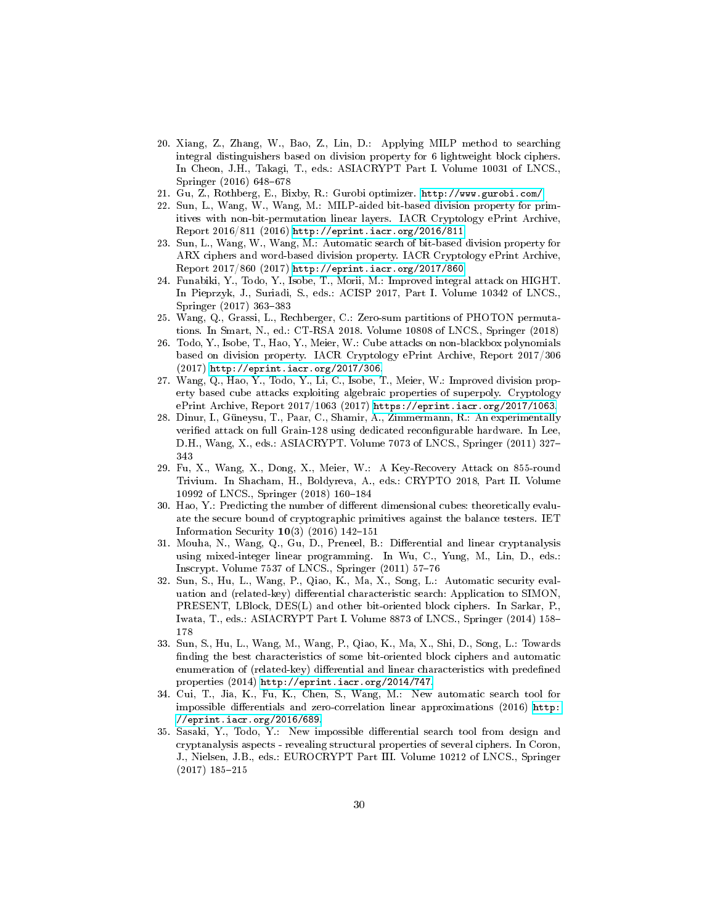- <span id="page-29-0"></span>20. Xiang, Z., Zhang, W., Bao, Z., Lin, D.: Applying MILP method to searching integral distinguishers based on division property for 6 lightweight block ciphers. In Cheon, J.H., Takagi, T., eds.: ASIACRYPT Part I. Volume 10031 of LNCS., Springer  $(2016)$  648-678
- <span id="page-29-1"></span>21. Gu, Z., Rothberg, E., Bixby, R.: Gurobi optimizer. <http://www.gurobi.com/>
- <span id="page-29-2"></span>22. Sun, L., Wang, W., Wang, M.: MILP-aided bit-based division property for primitives with non-bit-permutation linear layers. IACR Cryptology ePrint Archive, Report 2016/811 (2016) [http://eprint.iacr.org/2016/811.](http://eprint.iacr.org/2016/811)
- <span id="page-29-3"></span>23. Sun, L., Wang, W., Wang, M.: Automatic search of bit-based division property for ARX ciphers and word-based division property. IACR Cryptology ePrint Archive, Report 2017/860 (2017) [http://eprint.iacr.org/2017/860.](http://eprint.iacr.org/2017/860)
- <span id="page-29-4"></span>24. Funabiki, Y., Todo, Y., Isobe, T., Morii, M.: Improved integral attack on HIGHT. In Pieprzyk, J., Suriadi, S., eds.: ACISP 2017, Part I. Volume 10342 of LNCS., Springer (2017) 363-383
- <span id="page-29-5"></span>25. Wang, Q., Grassi, L., Rechberger, C.: Zero-sum partitions of PHOTON permutations. In Smart, N., ed.: CT-RSA 2018. Volume 10808 of LNCS., Springer (2018)
- <span id="page-29-6"></span>26. Todo, Y., Isobe, T., Hao, Y., Meier, W.: Cube attacks on non-blackbox polynomials based on division property. IACR Cryptology ePrint Archive, Report 2017/306 (2017) [http://eprint.iacr.org/2017/306.](http://eprint.iacr.org/2017/306)
- <span id="page-29-7"></span>27. Wang, Q., Hao, Y., Todo, Y., Li, C., Isobe, T., Meier, W.: Improved division property based cube attacks exploiting algebraic properties of superpoly. Cryptology ePrint Archive, Report 2017/1063 (2017) [https://eprint.iacr.org/2017/1063.](https://eprint.iacr.org/2017/1063)
- <span id="page-29-8"></span>28. Dinur, I., Güneysu, T., Paar, C., Shamir, A., Zimmermann, R.: An experimentally verified attack on full Grain-128 using dedicated reconfigurable hardware. In Lee, D.H., Wang, X., eds.: ASIACRYPT. Volume 7073 of LNCS., Springer (2011) 327 343
- <span id="page-29-9"></span>29. Fu, X., Wang, X., Dong, X., Meier, W.: A Key-Recovery Attack on 855-round Trivium. In Shacham, H., Boldyreva, A., eds.: CRYPTO 2018, Part II. Volume 10992 of LNCS., Springer (2018) 160-184
- <span id="page-29-10"></span>30. Hao, Y.: Predicting the number of different dimensional cubes: theoretically evaluate the secure bound of cryptographic primitives against the balance testers. IET Information Security  $10(3)$  (2016) 142-151
- <span id="page-29-11"></span>31. Mouha, N., Wang, Q., Gu, D., Preneel, B.: Differential and linear cryptanalysis using mixed-integer linear programming. In Wu, C., Yung, M., Lin, D., eds.: Inscrypt. Volume  $7537$  of LNCS., Springer  $(2011)$  57-76
- <span id="page-29-12"></span>32. Sun, S., Hu, L., Wang, P., Qiao, K., Ma, X., Song, L.: Automatic security evaluation and (related-key) differential characteristic search: Application to SIMON, PRESENT, LBlock, DES(L) and other bit-oriented block ciphers. In Sarkar, P., Iwata, T., eds.: ASIACRYPT Part I. Volume 8873 of LNCS., Springer (2014) 158 178
- <span id="page-29-13"></span>33. Sun, S., Hu, L., Wang, M., Wang, P., Qiao, K., Ma, X., Shi, D., Song, L.: Towards finding the best characteristics of some bit-oriented block ciphers and automatic enumeration of (related-key) differential and linear characteristics with predefined properties (2014) [http://eprint.iacr.org/2014/747.](http://eprint.iacr.org/2014/747)
- <span id="page-29-14"></span>34. Cui, T., Jia, K., Fu, K., Chen, S., Wang, M.: New automatic search tool for impossible differentials and zero-correlation linear approximations  $(2016)$  [http:](http://eprint.iacr.org/2016/689) [//eprint.iacr.org/2016/689.](http://eprint.iacr.org/2016/689)
- <span id="page-29-15"></span>35. Sasaki, Y., Todo, Y.: New impossible differential search tool from design and cryptanalysis aspects - revealing structural properties of several ciphers. In Coron, J., Nielsen, J.B., eds.: EUROCRYPT Part III. Volume 10212 of LNCS., Springer  $(2017)$  185-215